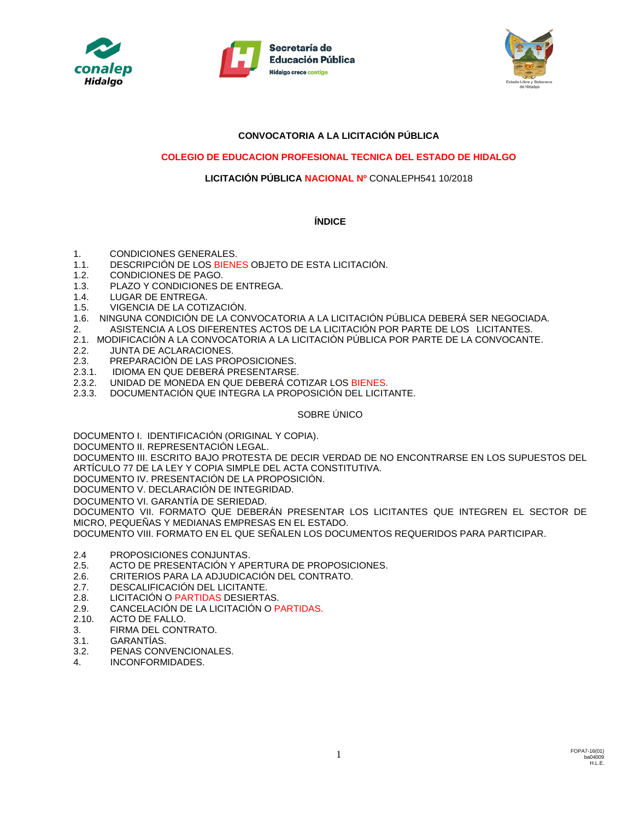





# **CONVOCATORIA A LA LICITACIÓN PÚBLICA**

## **COLEGIO DE EDUCACION PROFESIONAL TECNICA DEL ESTADO DE HIDALGO**

## **LICITACIÓN PÚBLICA NACIONAL Nº** CONALEPH541 10/2018

## **ÍNDICE**

- 1. CONDICIONES GENERALES.
- 1.1. DESCRIPCIÓN DE LOS BIENES OBJETO DE ESTA LICITACIÓN.
- 1.2. CONDICIONES DE PAGO.
- 1.3. PLAZO Y CONDICIONES DE ENTREGA.
- 1.4. LUGAR DE ENTREGA.
- 1.5. VIGENCIA DE LA COTIZACIÓN.
- 1.6. NINGUNA CONDICIÓN DE LA CONVOCATORIA A LA LICITACIÓN PÚBLICA DEBERÁ SER NEGOCIADA.
- 2. ASISTENCIA A LOS DIFERENTES ACTOS DE LA LICITACIÓN POR PARTE DE LOS LICITANTES.
- 2.1. MODIFICACIÓN A LA CONVOCATORIA A LA LICITACIÓN PÚBLICA POR PARTE DE LA CONVOCANTE.<br>2.2. JUNTA DE ACLARACIONES. JUNTA DE ACLARACIONES.
- 
- 2.3. PREPARACIÓN DE LAS PROPOSICIONES.<br>2.3.1. IDIOMA EN QUE DEBERÁ PRESENTARSE 2.3.1. IDIOMA EN QUE DEBERÁ PRESENTARSE.
- 2.3.2. UNIDAD DE MONEDA EN QUE DEBERÁ COTIZAR LOS BIENES.
- 2.3.3. DOCUMENTACIÓN QUE INTEGRA LA PROPOSICIÓN DEL LICITANTE.

## SOBRE ÚNICO

DOCUMENTO I. IDENTIFICACIÓN (ORIGINAL Y COPIA).

DOCUMENTO II. REPRESENTACIÓN LEGAL.

DOCUMENTO III. ESCRITO BAJO PROTESTA DE DECIR VERDAD DE NO ENCONTRARSE EN LOS SUPUESTOS DEL ARTÍCULO 77 DE LA LEY Y COPIA SIMPLE DEL ACTA CONSTITUTIVA.

DOCUMENTO IV. PRESENTACIÓN DE LA PROPOSICIÓN.

DOCUMENTO V. DECLARACIÓN DE INTEGRIDAD.

DOCUMENTO VI. GARANTÍA DE SERIEDAD.

DOCUMENTO VII. FORMATO QUE DEBERÁN PRESENTAR LOS LICITANTES QUE INTEGREN EL SECTOR DE MICRO, PEQUEÑAS Y MEDIANAS EMPRESAS EN EL ESTADO.

DOCUMENTO VIII. FORMATO EN EL QUE SEÑALEN LOS DOCUMENTOS REQUERIDOS PARA PARTICIPAR.

- 2.4 PROPOSICIONES CONJUNTAS.
- 2.5. ACTO DE PRESENTACIÓN Y APERTURA DE PROPOSICIONES.
- 2.6. CRITERIOS PARA LA ADJUDICACIÓN DEL CONTRATO.
- 2.7. DESCALIFICACIÓN DEL LICITANTE.
- 2.8. LICITACIÓN O PARTIDAS DESIERTAS.
- 2.9. CANCELACIÓN DE LA LICITACIÓN O PARTIDAS.
- 2.10. ACTO DE FALLO.
- 3. FIRMA DEL CONTRATO.
- 3.1. GARANTÍAS.
- 3.2. PENAS CONVENCIONALES.
- 4. INCONFORMIDADES.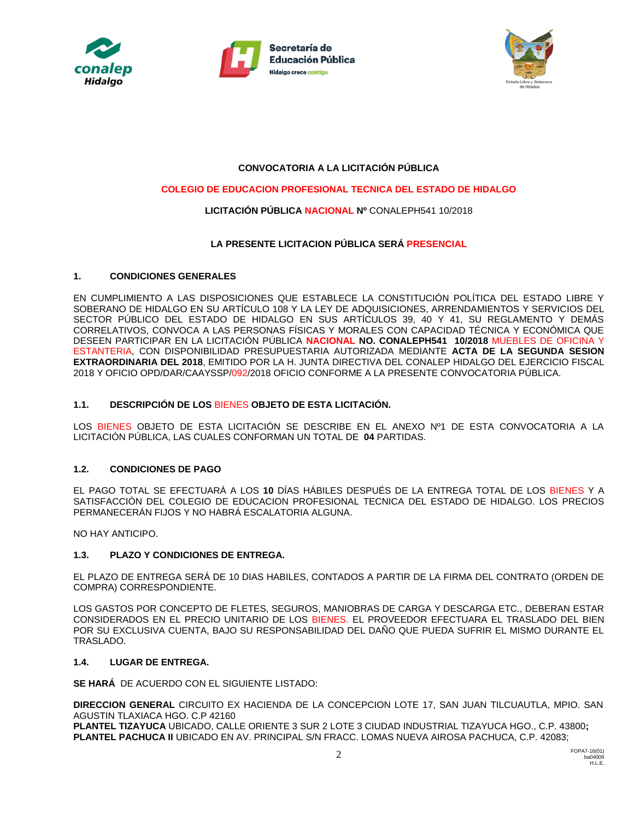





# **CONVOCATORIA A LA LICITACIÓN PÚBLICA**

## **COLEGIO DE EDUCACION PROFESIONAL TECNICA DEL ESTADO DE HIDALGO**

## **LICITACIÓN PÚBLICA NACIONAL Nº** CONALEPH541 10/2018

## **LA PRESENTE LICITACION PÚBLICA SERÁ PRESENCIAL**

### **1. CONDICIONES GENERALES**

EN CUMPLIMIENTO A LAS DISPOSICIONES QUE ESTABLECE LA CONSTITUCIÓN POLÍTICA DEL ESTADO LIBRE Y SOBERANO DE HIDALGO EN SU ARTÍCULO 108 Y LA LEY DE ADQUISICIONES, ARRENDAMIENTOS Y SERVICIOS DEL SECTOR PÚBLICO DEL ESTADO DE HIDALGO EN SUS ARTÍCULOS 39, 40 Y 41, SU REGLAMENTO Y DEMÁS CORRELATIVOS, CONVOCA A LAS PERSONAS FÍSICAS Y MORALES CON CAPACIDAD TÉCNICA Y ECONÓMICA QUE DESEEN PARTICIPAR EN LA LICITACIÓN PÚBLICA **NACIONAL NO. CONALEPH541 10/2018** MUEBLES DE OFICINA Y ESTANTERIA, CON DISPONIBILIDAD PRESUPUESTARIA AUTORIZADA MEDIANTE **ACTA DE LA SEGUNDA SESION EXTRAORDINARIA DEL 2018**, EMITIDO POR LA H. JUNTA DIRECTIVA DEL CONALEP HIDALGO DEL EJERCICIO FISCAL 2018 Y OFICIO OPD/DAR/CAAYSSP/092/2018 OFICIO CONFORME A LA PRESENTE CONVOCATORIA PÚBLICA.

#### **1.1. DESCRIPCIÓN DE LOS** BIENES **OBJETO DE ESTA LICITACIÓN.**

LOS BIENES OBJETO DE ESTA LICITACIÓN SE DESCRIBE EN EL ANEXO Nº1 DE ESTA CONVOCATORIA A LA LICITACIÓN PÚBLICA, LAS CUALES CONFORMAN UN TOTAL DE **04** PARTIDAS.

#### **1.2. CONDICIONES DE PAGO**

EL PAGO TOTAL SE EFECTUARÁ A LOS **10** DÍAS HÁBILES DESPUÉS DE LA ENTREGA TOTAL DE LOS BIENES Y A SATISFACCIÓN DEL COLEGIO DE EDUCACION PROFESIONAL TECNICA DEL ESTADO DE HIDALGO. LOS PRECIOS PERMANECERÁN FIJOS Y NO HABRÁ ESCALATORIA ALGUNA.

NO HAY ANTICIPO.

#### **1.3. PLAZO Y CONDICIONES DE ENTREGA.**

EL PLAZO DE ENTREGA SERÁ DE 10 DIAS HABILES, CONTADOS A PARTIR DE LA FIRMA DEL CONTRATO (ORDEN DE COMPRA) CORRESPONDIENTE.

LOS GASTOS POR CONCEPTO DE FLETES, SEGUROS, MANIOBRAS DE CARGA Y DESCARGA ETC., DEBERAN ESTAR CONSIDERADOS EN EL PRECIO UNITARIO DE LOS BIENES. EL PROVEEDOR EFECTUARA EL TRASLADO DEL BIEN POR SU EXCLUSIVA CUENTA, BAJO SU RESPONSABILIDAD DEL DAÑO QUE PUEDA SUFRIR EL MISMO DURANTE EL TRASLADO.

#### **1.4. LUGAR DE ENTREGA.**

**SE HARÁ** DE ACUERDO CON EL SIGUIENTE LISTADO:

**DIRECCION GENERAL** CIRCUITO EX HACIENDA DE LA CONCEPCION LOTE 17, SAN JUAN TILCUAUTLA, MPIO. SAN AGUSTIN TLAXIACA HGO. C.P 42160

**PLANTEL TIZAYUCA** UBICADO, CALLE ORIENTE 3 SUR 2 LOTE 3 CIUDAD INDUSTRIAL TIZAYUCA HGO., C.P. 43800**; PLANTEL PACHUCA II** UBICADO EN AV. PRINCIPAL S/N FRACC. LOMAS NUEVA AIROSA PACHUCA, C.P. 42083;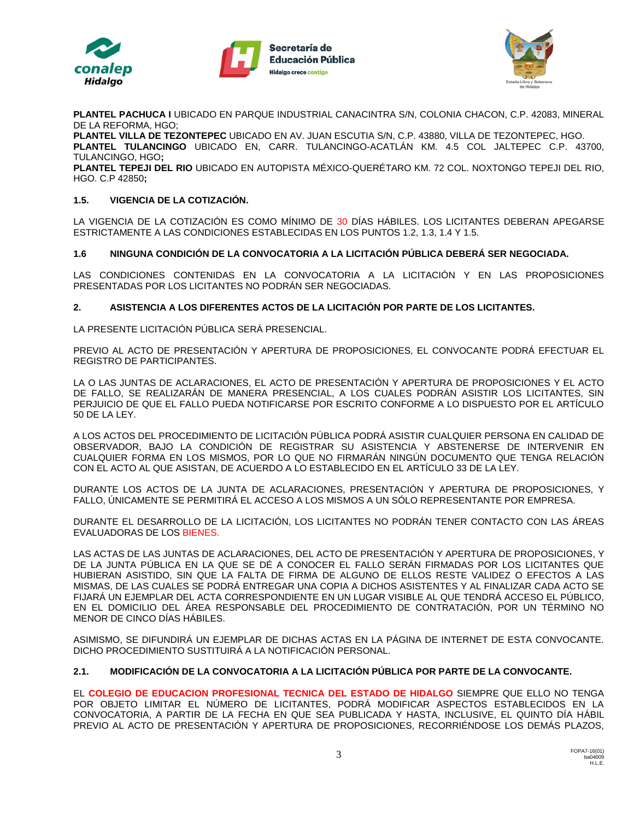





**PLANTEL PACHUCA I** UBICADO EN PARQUE INDUSTRIAL CANACINTRA S/N, COLONIA CHACON, C.P. 42083, MINERAL DE LA REFORMA, HGO;

**PLANTEL VILLA DE TEZONTEPEC** UBICADO EN AV. JUAN ESCUTIA S/N, C.P. 43880, VILLA DE TEZONTEPEC, HGO. **PLANTEL TULANCINGO** UBICADO EN, CARR. TULANCINGO-ACATLÁN KM. 4.5 COL JALTEPEC C.P. 43700, TULANCINGO, HGO**;**

**PLANTEL TEPEJI DEL RIO** UBICADO EN AUTOPISTA MÉXICO-QUERÉTARO KM. 72 COL. NOXTONGO TEPEJI DEL RIO, HGO. C.P 42850**;**

## **1.5. VIGENCIA DE LA COTIZACIÓN.**

LA VIGENCIA DE LA COTIZACIÓN ES COMO MÍNIMO DE 30 DÍAS HÁBILES. LOS LICITANTES DEBERAN APEGARSE ESTRICTAMENTE A LAS CONDICIONES ESTABLECIDAS EN LOS PUNTOS 1.2, 1.3, 1.4 Y 1.5.

## **1.6 NINGUNA CONDICIÓN DE LA CONVOCATORIA A LA LICITACIÓN PÚBLICA DEBERÁ SER NEGOCIADA.**

LAS CONDICIONES CONTENIDAS EN LA CONVOCATORIA A LA LICITACIÓN Y EN LAS PROPOSICIONES PRESENTADAS POR LOS LICITANTES NO PODRÁN SER NEGOCIADAS.

### **2. ASISTENCIA A LOS DIFERENTES ACTOS DE LA LICITACIÓN POR PARTE DE LOS LICITANTES.**

LA PRESENTE LICITACIÓN PÚBLICA SERÁ PRESENCIAL.

PREVIO AL ACTO DE PRESENTACIÓN Y APERTURA DE PROPOSICIONES, EL CONVOCANTE PODRÁ EFECTUAR EL REGISTRO DE PARTICIPANTES.

LA O LAS JUNTAS DE ACLARACIONES, EL ACTO DE PRESENTACIÓN Y APERTURA DE PROPOSICIONES Y EL ACTO DE FALLO, SE REALIZARÁN DE MANERA PRESENCIAL, A LOS CUALES PODRÁN ASISTIR LOS LICITANTES, SIN PERJUICIO DE QUE EL FALLO PUEDA NOTIFICARSE POR ESCRITO CONFORME A LO DISPUESTO POR EL ARTÍCULO 50 DE LA LEY.

A LOS ACTOS DEL PROCEDIMIENTO DE LICITACIÓN PÚBLICA PODRÁ ASISTIR CUALQUIER PERSONA EN CALIDAD DE OBSERVADOR, BAJO LA CONDICIÓN DE REGISTRAR SU ASISTENCIA Y ABSTENERSE DE INTERVENIR EN CUALQUIER FORMA EN LOS MISMOS, POR LO QUE NO FIRMARÁN NINGÚN DOCUMENTO QUE TENGA RELACIÓN CON EL ACTO AL QUE ASISTAN, DE ACUERDO A LO ESTABLECIDO EN EL ARTÍCULO 33 DE LA LEY.

DURANTE LOS ACTOS DE LA JUNTA DE ACLARACIONES, PRESENTACIÓN Y APERTURA DE PROPOSICIONES, Y FALLO, ÚNICAMENTE SE PERMITIRÁ EL ACCESO A LOS MISMOS A UN SÓLO REPRESENTANTE POR EMPRESA.

DURANTE EL DESARROLLO DE LA LICITACIÓN, LOS LICITANTES NO PODRÁN TENER CONTACTO CON LAS ÁREAS EVALUADORAS DE LOS BIENES.

LAS ACTAS DE LAS JUNTAS DE ACLARACIONES, DEL ACTO DE PRESENTACIÓN Y APERTURA DE PROPOSICIONES, Y DE LA JUNTA PÚBLICA EN LA QUE SE DÉ A CONOCER EL FALLO SERÁN FIRMADAS POR LOS LICITANTES QUE HUBIERAN ASISTIDO, SIN QUE LA FALTA DE FIRMA DE ALGUNO DE ELLOS RESTE VALIDEZ O EFECTOS A LAS MISMAS, DE LAS CUALES SE PODRÁ ENTREGAR UNA COPIA A DICHOS ASISTENTES Y AL FINALIZAR CADA ACTO SE FIJARÁ UN EJEMPLAR DEL ACTA CORRESPONDIENTE EN UN LUGAR VISIBLE AL QUE TENDRÁ ACCESO EL PÚBLICO, EN EL DOMICILIO DEL ÁREA RESPONSABLE DEL PROCEDIMIENTO DE CONTRATACIÓN, POR UN TÉRMINO NO MENOR DE CINCO DÍAS HÁBILES.

ASIMISMO, SE DIFUNDIRÁ UN EJEMPLAR DE DICHAS ACTAS EN LA PÁGINA DE INTERNET DE ESTA CONVOCANTE. DICHO PROCEDIMIENTO SUSTITUIRÁ A LA NOTIFICACIÓN PERSONAL.

### **2.1. MODIFICACIÓN DE LA CONVOCATORIA A LA LICITACIÓN PÚBLICA POR PARTE DE LA CONVOCANTE.**

EL **COLEGIO DE EDUCACION PROFESIONAL TECNICA DEL ESTADO DE HIDALGO** SIEMPRE QUE ELLO NO TENGA POR OBJETO LIMITAR EL NÚMERO DE LICITANTES, PODRÁ MODIFICAR ASPECTOS ESTABLECIDOS EN LA CONVOCATORIA, A PARTIR DE LA FECHA EN QUE SEA PUBLICADA Y HASTA, INCLUSIVE, EL QUINTO DÍA HÁBIL PREVIO AL ACTO DE PRESENTACIÓN Y APERTURA DE PROPOSICIONES, RECORRIÉNDOSE LOS DEMÁS PLAZOS,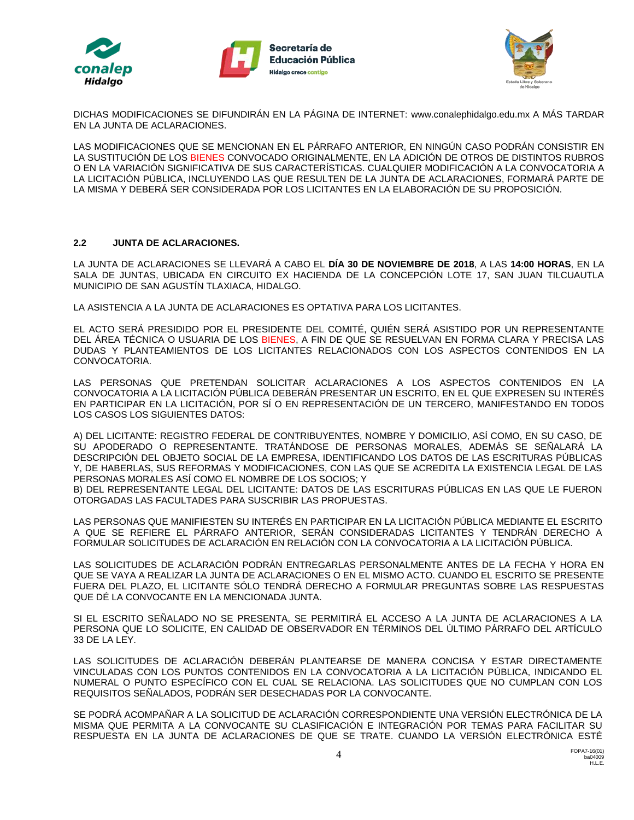





DICHAS MODIFICACIONES SE DIFUNDIRÁN EN LA PÁGINA DE INTERNET: www.conalephidalgo.edu.mx A MÁS TARDAR EN LA JUNTA DE ACLARACIONES.

LAS MODIFICACIONES QUE SE MENCIONAN EN EL PÁRRAFO ANTERIOR, EN NINGÚN CASO PODRÁN CONSISTIR EN LA SUSTITUCIÓN DE LOS BIENES CONVOCADO ORIGINALMENTE, EN LA ADICIÓN DE OTROS DE DISTINTOS RUBROS O EN LA VARIACIÓN SIGNIFICATIVA DE SUS CARACTERÍSTICAS. CUALQUIER MODIFICACIÓN A LA CONVOCATORIA A LA LICITACIÓN PÚBLICA, INCLUYENDO LAS QUE RESULTEN DE LA JUNTA DE ACLARACIONES, FORMARÁ PARTE DE LA MISMA Y DEBERÁ SER CONSIDERADA POR LOS LICITANTES EN LA ELABORACIÓN DE SU PROPOSICIÓN.

### **2.2 JUNTA DE ACLARACIONES.**

LA JUNTA DE ACLARACIONES SE LLEVARÁ A CABO EL **DÍA 30 DE NOVIEMBRE DE 2018**, A LAS **14:00 HORAS**, EN LA SALA DE JUNTAS, UBICADA EN CIRCUITO EX HACIENDA DE LA CONCEPCIÓN LOTE 17, SAN JUAN TILCUAUTLA MUNICIPIO DE SAN AGUSTÍN TLAXIACA, HIDALGO.

LA ASISTENCIA A LA JUNTA DE ACLARACIONES ES OPTATIVA PARA LOS LICITANTES.

EL ACTO SERÁ PRESIDIDO POR EL PRESIDENTE DEL COMITÉ, QUIÉN SERÁ ASISTIDO POR UN REPRESENTANTE DEL ÁREA TÉCNICA O USUARIA DE LOS BIENES, A FIN DE QUE SE RESUELVAN EN FORMA CLARA Y PRECISA LAS DUDAS Y PLANTEAMIENTOS DE LOS LICITANTES RELACIONADOS CON LOS ASPECTOS CONTENIDOS EN LA CONVOCATORIA.

LAS PERSONAS QUE PRETENDAN SOLICITAR ACLARACIONES A LOS ASPECTOS CONTENIDOS EN LA CONVOCATORIA A LA LICITACIÓN PÚBLICA DEBERÁN PRESENTAR UN ESCRITO, EN EL QUE EXPRESEN SU INTERÉS EN PARTICIPAR EN LA LICITACIÓN, POR SÍ O EN REPRESENTACIÓN DE UN TERCERO, MANIFESTANDO EN TODOS LOS CASOS LOS SIGUIENTES DATOS:

A) DEL LICITANTE: REGISTRO FEDERAL DE CONTRIBUYENTES, NOMBRE Y DOMICILIO, ASÍ COMO, EN SU CASO, DE SU APODERADO O REPRESENTANTE. TRATÁNDOSE DE PERSONAS MORALES, ADEMÁS SE SEÑALARÁ LA DESCRIPCIÓN DEL OBJETO SOCIAL DE LA EMPRESA, IDENTIFICANDO LOS DATOS DE LAS ESCRITURAS PÚBLICAS Y, DE HABERLAS, SUS REFORMAS Y MODIFICACIONES, CON LAS QUE SE ACREDITA LA EXISTENCIA LEGAL DE LAS PERSONAS MORALES ASÍ COMO EL NOMBRE DE LOS SOCIOS; Y

B) DEL REPRESENTANTE LEGAL DEL LICITANTE: DATOS DE LAS ESCRITURAS PÚBLICAS EN LAS QUE LE FUERON OTORGADAS LAS FACULTADES PARA SUSCRIBIR LAS PROPUESTAS.

LAS PERSONAS QUE MANIFIESTEN SU INTERÉS EN PARTICIPAR EN LA LICITACIÓN PÚBLICA MEDIANTE EL ESCRITO A QUE SE REFIERE EL PÁRRAFO ANTERIOR, SERÁN CONSIDERADAS LICITANTES Y TENDRÁN DERECHO A FORMULAR SOLICITUDES DE ACLARACIÓN EN RELACIÓN CON LA CONVOCATORIA A LA LICITACIÓN PÚBLICA.

LAS SOLICITUDES DE ACLARACIÓN PODRÁN ENTREGARLAS PERSONALMENTE ANTES DE LA FECHA Y HORA EN QUE SE VAYA A REALIZAR LA JUNTA DE ACLARACIONES O EN EL MISMO ACTO. CUANDO EL ESCRITO SE PRESENTE FUERA DEL PLAZO, EL LICITANTE SÓLO TENDRÁ DERECHO A FORMULAR PREGUNTAS SOBRE LAS RESPUESTAS QUE DÉ LA CONVOCANTE EN LA MENCIONADA JUNTA.

SI EL ESCRITO SEÑALADO NO SE PRESENTA, SE PERMITIRÁ EL ACCESO A LA JUNTA DE ACLARACIONES A LA PERSONA QUE LO SOLICITE, EN CALIDAD DE OBSERVADOR EN TÉRMINOS DEL ÚLTIMO PÁRRAFO DEL ARTÍCULO 33 DE LA LEY.

LAS SOLICITUDES DE ACLARACIÓN DEBERÁN PLANTEARSE DE MANERA CONCISA Y ESTAR DIRECTAMENTE VINCULADAS CON LOS PUNTOS CONTENIDOS EN LA CONVOCATORIA A LA LICITACIÓN PÚBLICA, INDICANDO EL NUMERAL O PUNTO ESPECÍFICO CON EL CUAL SE RELACIONA. LAS SOLICITUDES QUE NO CUMPLAN CON LOS REQUISITOS SEÑALADOS, PODRÁN SER DESECHADAS POR LA CONVOCANTE.

SE PODRÁ ACOMPAÑAR A LA SOLICITUD DE ACLARACIÓN CORRESPONDIENTE UNA VERSIÓN ELECTRÓNICA DE LA MISMA QUE PERMITA A LA CONVOCANTE SU CLASIFICACIÓN E INTEGRACIÓN POR TEMAS PARA FACILITAR SU RESPUESTA EN LA JUNTA DE ACLARACIONES DE QUE SE TRATE. CUANDO LA VERSIÓN ELECTRÓNICA ESTÉ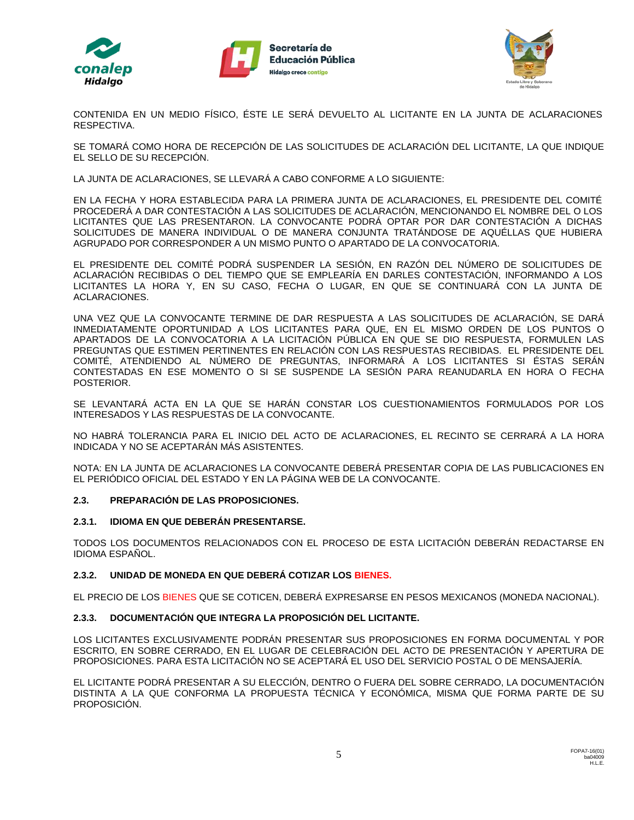





CONTENIDA EN UN MEDIO FÍSICO, ÉSTE LE SERÁ DEVUELTO AL LICITANTE EN LA JUNTA DE ACLARACIONES RESPECTIVA.

SE TOMARÁ COMO HORA DE RECEPCIÓN DE LAS SOLICITUDES DE ACLARACIÓN DEL LICITANTE, LA QUE INDIQUE EL SELLO DE SU RECEPCIÓN.

LA JUNTA DE ACLARACIONES, SE LLEVARÁ A CABO CONFORME A LO SIGUIENTE:

EN LA FECHA Y HORA ESTABLECIDA PARA LA PRIMERA JUNTA DE ACLARACIONES, EL PRESIDENTE DEL COMITÉ PROCEDERÁ A DAR CONTESTACIÓN A LAS SOLICITUDES DE ACLARACIÓN, MENCIONANDO EL NOMBRE DEL O LOS LICITANTES QUE LAS PRESENTARON. LA CONVOCANTE PODRÁ OPTAR POR DAR CONTESTACIÓN A DICHAS SOLICITUDES DE MANERA INDIVIDUAL O DE MANERA CONJUNTA TRATÁNDOSE DE AQUÉLLAS QUE HUBIERA AGRUPADO POR CORRESPONDER A UN MISMO PUNTO O APARTADO DE LA CONVOCATORIA.

EL PRESIDENTE DEL COMITÉ PODRÁ SUSPENDER LA SESIÓN, EN RAZÓN DEL NÚMERO DE SOLICITUDES DE ACLARACIÓN RECIBIDAS O DEL TIEMPO QUE SE EMPLEARÍA EN DARLES CONTESTACIÓN, INFORMANDO A LOS LICITANTES LA HORA Y, EN SU CASO, FECHA O LUGAR, EN QUE SE CONTINUARÁ CON LA JUNTA DE ACLARACIONES.

UNA VEZ QUE LA CONVOCANTE TERMINE DE DAR RESPUESTA A LAS SOLICITUDES DE ACLARACIÓN, SE DARÁ INMEDIATAMENTE OPORTUNIDAD A LOS LICITANTES PARA QUE, EN EL MISMO ORDEN DE LOS PUNTOS O APARTADOS DE LA CONVOCATORIA A LA LICITACIÓN PÚBLICA EN QUE SE DIO RESPUESTA, FORMULEN LAS PREGUNTAS QUE ESTIMEN PERTINENTES EN RELACIÓN CON LAS RESPUESTAS RECIBIDAS. EL PRESIDENTE DEL COMITÉ, ATENDIENDO AL NÚMERO DE PREGUNTAS, INFORMARÁ A LOS LICITANTES SI ÉSTAS SERÁN CONTESTADAS EN ESE MOMENTO O SI SE SUSPENDE LA SESIÓN PARA REANUDARLA EN HORA O FECHA POSTERIOR.

SE LEVANTARÁ ACTA EN LA QUE SE HARÁN CONSTAR LOS CUESTIONAMIENTOS FORMULADOS POR LOS INTERESADOS Y LAS RESPUESTAS DE LA CONVOCANTE.

NO HABRÁ TOLERANCIA PARA EL INICIO DEL ACTO DE ACLARACIONES, EL RECINTO SE CERRARÁ A LA HORA INDICADA Y NO SE ACEPTARÁN MÁS ASISTENTES.

NOTA: EN LA JUNTA DE ACLARACIONES LA CONVOCANTE DEBERÁ PRESENTAR COPIA DE LAS PUBLICACIONES EN EL PERIÓDICO OFICIAL DEL ESTADO Y EN LA PÁGINA WEB DE LA CONVOCANTE.

## **2.3. PREPARACIÓN DE LAS PROPOSICIONES.**

## **2.3.1. IDIOMA EN QUE DEBERÁN PRESENTARSE.**

TODOS LOS DOCUMENTOS RELACIONADOS CON EL PROCESO DE ESTA LICITACIÓN DEBERÁN REDACTARSE EN IDIOMA ESPAÑOL.

## **2.3.2. UNIDAD DE MONEDA EN QUE DEBERÁ COTIZAR LOS BIENES.**

EL PRECIO DE LOS BIENES QUE SE COTICEN, DEBERÁ EXPRESARSE EN PESOS MEXICANOS (MONEDA NACIONAL).

## **2.3.3. DOCUMENTACIÓN QUE INTEGRA LA PROPOSICIÓN DEL LICITANTE.**

LOS LICITANTES EXCLUSIVAMENTE PODRÁN PRESENTAR SUS PROPOSICIONES EN FORMA DOCUMENTAL Y POR ESCRITO, EN SOBRE CERRADO, EN EL LUGAR DE CELEBRACIÓN DEL ACTO DE PRESENTACIÓN Y APERTURA DE PROPOSICIONES. PARA ESTA LICITACIÓN NO SE ACEPTARÁ EL USO DEL SERVICIO POSTAL O DE MENSAJERÍA.

EL LICITANTE PODRÁ PRESENTAR A SU ELECCIÓN, DENTRO O FUERA DEL SOBRE CERRADO, LA DOCUMENTACIÓN DISTINTA A LA QUE CONFORMA LA PROPUESTA TÉCNICA Y ECONÓMICA, MISMA QUE FORMA PARTE DE SU PROPOSICIÓN.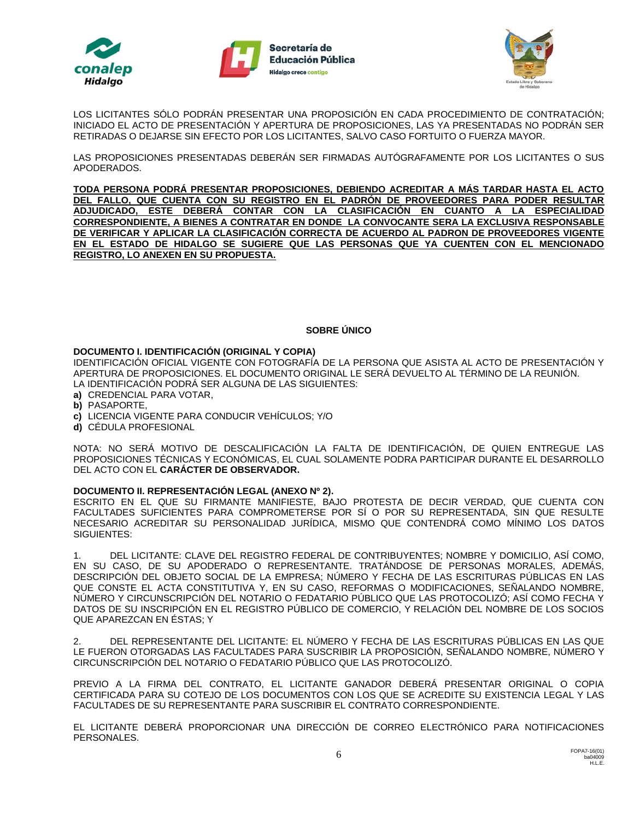





LOS LICITANTES SÓLO PODRÁN PRESENTAR UNA PROPOSICIÓN EN CADA PROCEDIMIENTO DE CONTRATACIÓN; INICIADO EL ACTO DE PRESENTACIÓN Y APERTURA DE PROPOSICIONES, LAS YA PRESENTADAS NO PODRÁN SER RETIRADAS O DEJARSE SIN EFECTO POR LOS LICITANTES, SALVO CASO FORTUITO O FUERZA MAYOR.

LAS PROPOSICIONES PRESENTADAS DEBERÁN SER FIRMADAS AUTÓGRAFAMENTE POR LOS LICITANTES O SUS APODERADOS.

**TODA PERSONA PODRÁ PRESENTAR PROPOSICIONES, DEBIENDO ACREDITAR A MÁS TARDAR HASTA EL ACTO DEL FALLO, QUE CUENTA CON SU REGISTRO EN EL PADRÓN DE PROVEEDORES PARA PODER RESULTAR ADJUDICADO, ESTE DEBERÁ CONTAR CON LA CLASIFICACIÓN EN CUANTO A LA ESPECIALIDAD CORRESPONDIENTE, A BIENES A CONTRATAR EN DONDE LA CONVOCANTE SERA LA EXCLUSIVA RESPONSABLE DE VERIFICAR Y APLICAR LA CLASIFICACIÓN CORRECTA DE ACUERDO AL PADRON DE PROVEEDORES VIGENTE EN EL ESTADO DE HIDALGO SE SUGIERE QUE LAS PERSONAS QUE YA CUENTEN CON EL MENCIONADO REGISTRO, LO ANEXEN EN SU PROPUESTA.**

### **SOBRE ÚNICO**

#### **DOCUMENTO I. IDENTIFICACIÓN (ORIGINAL Y COPIA)**

IDENTIFICACIÓN OFICIAL VIGENTE CON FOTOGRAFÍA DE LA PERSONA QUE ASISTA AL ACTO DE PRESENTACIÓN Y APERTURA DE PROPOSICIONES. EL DOCUMENTO ORIGINAL LE SERÁ DEVUELTO AL TÉRMINO DE LA REUNIÓN. LA IDENTIFICACIÓN PODRÁ SER ALGUNA DE LAS SIGUIENTES:

- **a)** CREDENCIAL PARA VOTAR,
- **b)** PASAPORTE,
- **c)** LICENCIA VIGENTE PARA CONDUCIR VEHÍCULOS; Y/O
- **d)** CÉDULA PROFESIONAL

NOTA: NO SERÁ MOTIVO DE DESCALIFICACIÓN LA FALTA DE IDENTIFICACIÓN, DE QUIEN ENTREGUE LAS PROPOSICIONES TÉCNICAS Y ECONÓMICAS, EL CUAL SOLAMENTE PODRA PARTICIPAR DURANTE EL DESARROLLO DEL ACTO CON EL **CARÁCTER DE OBSERVADOR.**

#### **DOCUMENTO II. REPRESENTACIÓN LEGAL (ANEXO Nº 2).**

ESCRITO EN EL QUE SU FIRMANTE MANIFIESTE, BAJO PROTESTA DE DECIR VERDAD, QUE CUENTA CON FACULTADES SUFICIENTES PARA COMPROMETERSE POR SÍ O POR SU REPRESENTADA, SIN QUE RESULTE NECESARIO ACREDITAR SU PERSONALIDAD JURÍDICA, MISMO QUE CONTENDRÁ COMO MÍNIMO LOS DATOS SIGUIENTES:

1. DEL LICITANTE: CLAVE DEL REGISTRO FEDERAL DE CONTRIBUYENTES; NOMBRE Y DOMICILIO, ASÍ COMO, EN SU CASO, DE SU APODERADO O REPRESENTANTE. TRATÁNDOSE DE PERSONAS MORALES, ADEMÁS, DESCRIPCIÓN DEL OBJETO SOCIAL DE LA EMPRESA; NÚMERO Y FECHA DE LAS ESCRITURAS PÚBLICAS EN LAS QUE CONSTE EL ACTA CONSTITUTIVA Y, EN SU CASO, REFORMAS O MODIFICACIONES, SEÑALANDO NOMBRE, NÚMERO Y CIRCUNSCRIPCIÓN DEL NOTARIO O FEDATARIO PÚBLICO QUE LAS PROTOCOLIZÓ; ASÍ COMO FECHA Y DATOS DE SU INSCRIPCIÓN EN EL REGISTRO PÚBLICO DE COMERCIO, Y RELACIÓN DEL NOMBRE DE LOS SOCIOS QUE APAREZCAN EN ÉSTAS; Y

2. DEL REPRESENTANTE DEL LICITANTE: EL NÚMERO Y FECHA DE LAS ESCRITURAS PÚBLICAS EN LAS QUE LE FUERON OTORGADAS LAS FACULTADES PARA SUSCRIBIR LA PROPOSICIÓN, SEÑALANDO NOMBRE, NÚMERO Y CIRCUNSCRIPCIÓN DEL NOTARIO O FEDATARIO PÚBLICO QUE LAS PROTOCOLIZÓ.

PREVIO A LA FIRMA DEL CONTRATO, EL LICITANTE GANADOR DEBERÁ PRESENTAR ORIGINAL O COPIA CERTIFICADA PARA SU COTEJO DE LOS DOCUMENTOS CON LOS QUE SE ACREDITE SU EXISTENCIA LEGAL Y LAS FACULTADES DE SU REPRESENTANTE PARA SUSCRIBIR EL CONTRATO CORRESPONDIENTE.

EL LICITANTE DEBERÁ PROPORCIONAR UNA DIRECCIÓN DE CORREO ELECTRÓNICO PARA NOTIFICACIONES PERSONALES.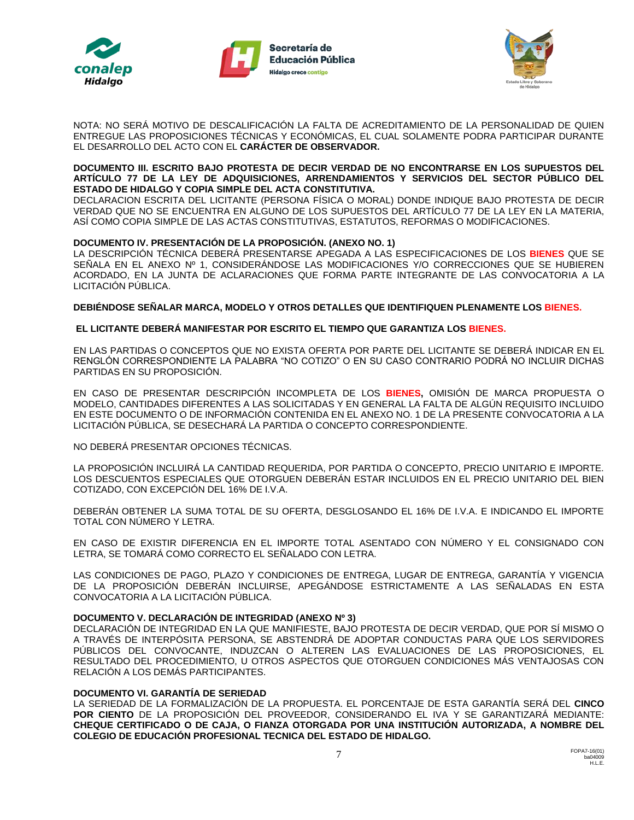





NOTA: NO SERÁ MOTIVO DE DESCALIFICACIÓN LA FALTA DE ACREDITAMIENTO DE LA PERSONALIDAD DE QUIEN ENTREGUE LAS PROPOSICIONES TÉCNICAS Y ECONÓMICAS, EL CUAL SOLAMENTE PODRA PARTICIPAR DURANTE EL DESARROLLO DEL ACTO CON EL **CARÁCTER DE OBSERVADOR.**

#### **DOCUMENTO III. ESCRITO BAJO PROTESTA DE DECIR VERDAD DE NO ENCONTRARSE EN LOS SUPUESTOS DEL ARTÍCULO 77 DE LA LEY DE ADQUISICIONES, ARRENDAMIENTOS Y SERVICIOS DEL SECTOR PÚBLICO DEL ESTADO DE HIDALGO Y COPIA SIMPLE DEL ACTA CONSTITUTIVA.**

DECLARACION ESCRITA DEL LICITANTE (PERSONA FÍSICA O MORAL) DONDE INDIQUE BAJO PROTESTA DE DECIR VERDAD QUE NO SE ENCUENTRA EN ALGUNO DE LOS SUPUESTOS DEL ARTÍCULO 77 DE LA LEY EN LA MATERIA, ASÍ COMO COPIA SIMPLE DE LAS ACTAS CONSTITUTIVAS, ESTATUTOS, REFORMAS O MODIFICACIONES.

### **DOCUMENTO IV. PRESENTACIÓN DE LA PROPOSICIÓN. (ANEXO NO. 1)**

LA DESCRIPCIÓN TÉCNICA DEBERÁ PRESENTARSE APEGADA A LAS ESPECIFICACIONES DE LOS **BIENES** QUE SE SEÑALA EN EL ANEXO Nº 1, CONSIDERÁNDOSE LAS MODIFICACIONES Y/O CORRECCIONES QUE SE HUBIEREN ACORDADO, EN LA JUNTA DE ACLARACIONES QUE FORMA PARTE INTEGRANTE DE LAS CONVOCATORIA A LA LICITACIÓN PÚBLICA.

**DEBIÉNDOSE SEÑALAR MARCA, MODELO Y OTROS DETALLES QUE IDENTIFIQUEN PLENAMENTE LOS BIENES.**

#### **EL LICITANTE DEBERÁ MANIFESTAR POR ESCRITO EL TIEMPO QUE GARANTIZA LOS BIENES.**

EN LAS PARTIDAS O CONCEPTOS QUE NO EXISTA OFERTA POR PARTE DEL LICITANTE SE DEBERÁ INDICAR EN EL RENGLÓN CORRESPONDIENTE LA PALABRA "NO COTIZO" O EN SU CASO CONTRARIO PODRÁ NO INCLUIR DICHAS PARTIDAS EN SU PROPOSICIÓN.

EN CASO DE PRESENTAR DESCRIPCIÓN INCOMPLETA DE LOS **BIENES,** OMISIÓN DE MARCA PROPUESTA O MODELO, CANTIDADES DIFERENTES A LAS SOLICITADAS Y EN GENERAL LA FALTA DE ALGÚN REQUISITO INCLUIDO EN ESTE DOCUMENTO O DE INFORMACIÓN CONTENIDA EN EL ANEXO NO. 1 DE LA PRESENTE CONVOCATORIA A LA LICITACIÓN PÚBLICA, SE DESECHARÁ LA PARTIDA O CONCEPTO CORRESPONDIENTE.

NO DEBERÁ PRESENTAR OPCIONES TÉCNICAS.

LA PROPOSICIÓN INCLUIRÁ LA CANTIDAD REQUERIDA, POR PARTIDA O CONCEPTO, PRECIO UNITARIO E IMPORTE. LOS DESCUENTOS ESPECIALES QUE OTORGUEN DEBERÁN ESTAR INCLUIDOS EN EL PRECIO UNITARIO DEL BIEN COTIZADO, CON EXCEPCIÓN DEL 16% DE I.V.A.

DEBERÁN OBTENER LA SUMA TOTAL DE SU OFERTA, DESGLOSANDO EL 16% DE I.V.A. E INDICANDO EL IMPORTE TOTAL CON NÚMERO Y LETRA.

EN CASO DE EXISTIR DIFERENCIA EN EL IMPORTE TOTAL ASENTADO CON NÚMERO Y EL CONSIGNADO CON LETRA, SE TOMARÁ COMO CORRECTO EL SEÑALADO CON LETRA.

LAS CONDICIONES DE PAGO, PLAZO Y CONDICIONES DE ENTREGA, LUGAR DE ENTREGA, GARANTÍA Y VIGENCIA DE LA PROPOSICIÓN DEBERÁN INCLUIRSE, APEGÁNDOSE ESTRICTAMENTE A LAS SEÑALADAS EN ESTA CONVOCATORIA A LA LICITACIÓN PÚBLICA.

#### **DOCUMENTO V. DECLARACIÓN DE INTEGRIDAD (ANEXO Nº 3)**

DECLARACIÓN DE INTEGRIDAD EN LA QUE MANIFIESTE, BAJO PROTESTA DE DECIR VERDAD, QUE POR SÍ MISMO O A TRAVÉS DE INTERPÓSITA PERSONA, SE ABSTENDRÁ DE ADOPTAR CONDUCTAS PARA QUE LOS SERVIDORES PÚBLICOS DEL CONVOCANTE, INDUZCAN O ALTEREN LAS EVALUACIONES DE LAS PROPOSICIONES, EL RESULTADO DEL PROCEDIMIENTO, U OTROS ASPECTOS QUE OTORGUEN CONDICIONES MÁS VENTAJOSAS CON RELACIÓN A LOS DEMÁS PARTICIPANTES.

#### **DOCUMENTO VI. GARANTÍA DE SERIEDAD**

LA SERIEDAD DE LA FORMALIZACIÓN DE LA PROPUESTA. EL PORCENTAJE DE ESTA GARANTÍA SERÁ DEL **CINCO POR CIENTO** DE LA PROPOSICIÓN DEL PROVEEDOR, CONSIDERANDO EL IVA Y SE GARANTIZARÁ MEDIANTE: **CHEQUE CERTIFICADO O DE CAJA, O FIANZA OTORGADA POR UNA INSTITUCIÓN AUTORIZADA, A NOMBRE DEL COLEGIO DE EDUCACIÓN PROFESIONAL TECNICA DEL ESTADO DE HIDALGO.**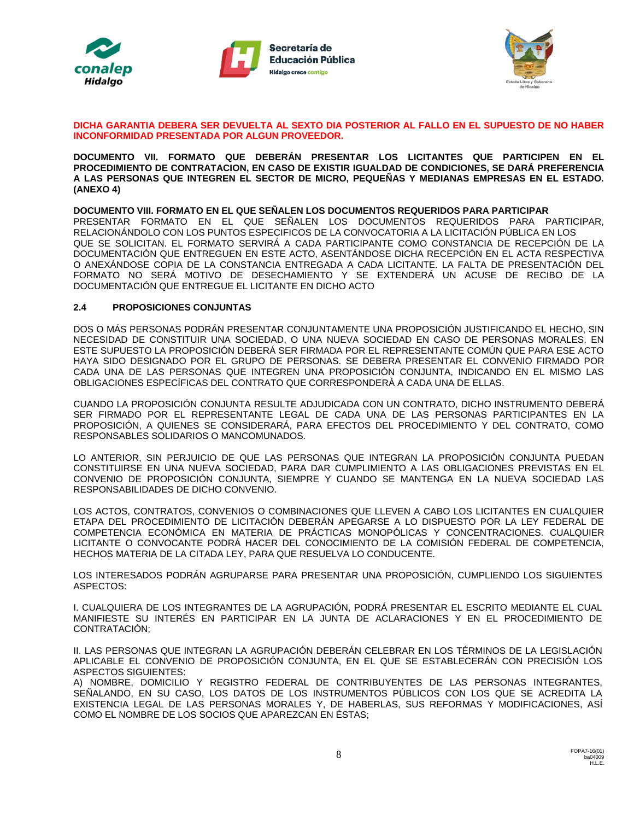





#### **DICHA GARANTIA DEBERA SER DEVUELTA AL SEXTO DIA POSTERIOR AL FALLO EN EL SUPUESTO DE NO HABER INCONFORMIDAD PRESENTADA POR ALGUN PROVEEDOR.**

**DOCUMENTO VII. FORMATO QUE DEBERÁN PRESENTAR LOS LICITANTES QUE PARTICIPEN EN EL PROCEDIMIENTO DE CONTRATACION, EN CASO DE EXISTIR IGUALDAD DE CONDICIONES, SE DARÁ PREFERENCIA A LAS PERSONAS QUE INTEGREN EL SECTOR DE MICRO, PEQUEÑAS Y MEDIANAS EMPRESAS EN EL ESTADO. (ANEXO 4)**

#### **DOCUMENTO VIII. FORMATO EN EL QUE SEÑALEN LOS DOCUMENTOS REQUERIDOS PARA PARTICIPAR**

PRESENTAR FORMATO EN EL QUE SEÑALEN LOS DOCUMENTOS REQUERIDOS PARA PARTICIPAR, RELACIONÁNDOLO CON LOS PUNTOS ESPECIFICOS DE LA CONVOCATORIA A LA LICITACIÓN PÚBLICA EN LOS QUE SE SOLICITAN. EL FORMATO SERVIRÁ A CADA PARTICIPANTE COMO CONSTANCIA DE RECEPCIÓN DE LA DOCUMENTACIÓN QUE ENTREGUEN EN ESTE ACTO, ASENTÁNDOSE DICHA RECEPCIÓN EN EL ACTA RESPECTIVA O ANEXÁNDOSE COPIA DE LA CONSTANCIA ENTREGADA A CADA LICITANTE. LA FALTA DE PRESENTACIÓN DEL FORMATO NO SERÁ MOTIVO DE DESECHAMIENTO Y SE EXTENDERÁ UN ACUSE DE RECIBO DE LA DOCUMENTACIÓN QUE ENTREGUE EL LICITANTE EN DICHO ACTO

### **2.4 PROPOSICIONES CONJUNTAS**

DOS O MÁS PERSONAS PODRÁN PRESENTAR CONJUNTAMENTE UNA PROPOSICIÓN JUSTIFICANDO EL HECHO, SIN NECESIDAD DE CONSTITUIR UNA SOCIEDAD, O UNA NUEVA SOCIEDAD EN CASO DE PERSONAS MORALES. EN ESTE SUPUESTO LA PROPOSICIÓN DEBERÁ SER FIRMADA POR EL REPRESENTANTE COMÚN QUE PARA ESE ACTO HAYA SIDO DESIGNADO POR EL GRUPO DE PERSONAS. SE DEBERA PRESENTAR EL CONVENIO FIRMADO POR CADA UNA DE LAS PERSONAS QUE INTEGREN UNA PROPOSICIÓN CONJUNTA, INDICANDO EN EL MISMO LAS OBLIGACIONES ESPECÍFICAS DEL CONTRATO QUE CORRESPONDERÁ A CADA UNA DE ELLAS.

CUANDO LA PROPOSICIÓN CONJUNTA RESULTE ADJUDICADA CON UN CONTRATO, DICHO INSTRUMENTO DEBERÁ SER FIRMADO POR EL REPRESENTANTE LEGAL DE CADA UNA DE LAS PERSONAS PARTICIPANTES EN LA PROPOSICIÓN, A QUIENES SE CONSIDERARÁ, PARA EFECTOS DEL PROCEDIMIENTO Y DEL CONTRATO, COMO RESPONSABLES SOLIDARIOS O MANCOMUNADOS.

LO ANTERIOR, SIN PERJUICIO DE QUE LAS PERSONAS QUE INTEGRAN LA PROPOSICIÓN CONJUNTA PUEDAN CONSTITUIRSE EN UNA NUEVA SOCIEDAD, PARA DAR CUMPLIMIENTO A LAS OBLIGACIONES PREVISTAS EN EL CONVENIO DE PROPOSICIÓN CONJUNTA, SIEMPRE Y CUANDO SE MANTENGA EN LA NUEVA SOCIEDAD LAS RESPONSABILIDADES DE DICHO CONVENIO.

LOS ACTOS, CONTRATOS, CONVENIOS O COMBINACIONES QUE LLEVEN A CABO LOS LICITANTES EN CUALQUIER ETAPA DEL PROCEDIMIENTO DE LICITACIÓN DEBERÁN APEGARSE A LO DISPUESTO POR LA LEY FEDERAL DE COMPETENCIA ECONÓMICA EN MATERIA DE PRÁCTICAS MONOPÓLICAS Y CONCENTRACIONES. CUALQUIER LICITANTE O CONVOCANTE PODRÁ HACER DEL CONOCIMIENTO DE LA COMISIÓN FEDERAL DE COMPETENCIA, HECHOS MATERIA DE LA CITADA LEY, PARA QUE RESUELVA LO CONDUCENTE.

LOS INTERESADOS PODRÁN AGRUPARSE PARA PRESENTAR UNA PROPOSICIÓN, CUMPLIENDO LOS SIGUIENTES ASPECTOS:

I. CUALQUIERA DE LOS INTEGRANTES DE LA AGRUPACIÓN, PODRÁ PRESENTAR EL ESCRITO MEDIANTE EL CUAL MANIFIESTE SU INTERÉS EN PARTICIPAR EN LA JUNTA DE ACLARACIONES Y EN EL PROCEDIMIENTO DE CONTRATACIÓN;

II. LAS PERSONAS QUE INTEGRAN LA AGRUPACIÓN DEBERÁN CELEBRAR EN LOS TÉRMINOS DE LA LEGISLACIÓN APLICABLE EL CONVENIO DE PROPOSICIÓN CONJUNTA, EN EL QUE SE ESTABLECERÁN CON PRECISIÓN LOS ASPECTOS SIGUIENTES:

A) NOMBRE, DOMICILIO Y REGISTRO FEDERAL DE CONTRIBUYENTES DE LAS PERSONAS INTEGRANTES, SEÑALANDO, EN SU CASO, LOS DATOS DE LOS INSTRUMENTOS PÚBLICOS CON LOS QUE SE ACREDITA LA EXISTENCIA LEGAL DE LAS PERSONAS MORALES Y, DE HABERLAS, SUS REFORMAS Y MODIFICACIONES, ASÍ COMO EL NOMBRE DE LOS SOCIOS QUE APAREZCAN EN ÉSTAS;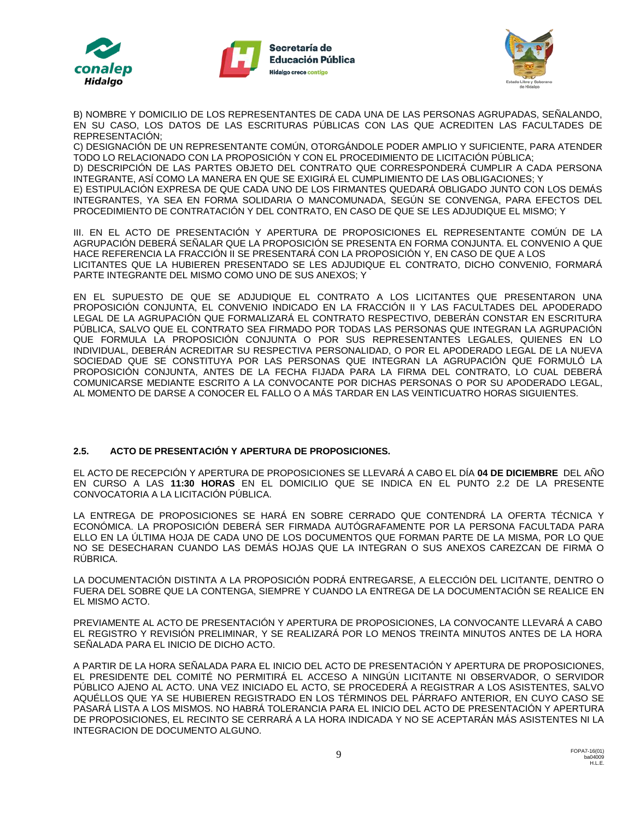





B) NOMBRE Y DOMICILIO DE LOS REPRESENTANTES DE CADA UNA DE LAS PERSONAS AGRUPADAS, SEÑALANDO, EN SU CASO, LOS DATOS DE LAS ESCRITURAS PÚBLICAS CON LAS QUE ACREDITEN LAS FACULTADES DE REPRESENTACIÓN;

C) DESIGNACIÓN DE UN REPRESENTANTE COMÚN, OTORGÁNDOLE PODER AMPLIO Y SUFICIENTE, PARA ATENDER TODO LO RELACIONADO CON LA PROPOSICIÓN Y CON EL PROCEDIMIENTO DE LICITACIÓN PÚBLICA; D) DESCRIPCIÓN DE LAS PARTES OBJETO DEL CONTRATO QUE CORRESPONDERÁ CUMPLIR A CADA PERSONA INTEGRANTE, ASÍ COMO LA MANERA EN QUE SE EXIGIRÁ EL CUMPLIMIENTO DE LAS OBLIGACIONES; Y E) ESTIPULACIÓN EXPRESA DE QUE CADA UNO DE LOS FIRMANTES QUEDARÁ OBLIGADO JUNTO CON LOS DEMÁS INTEGRANTES, YA SEA EN FORMA SOLIDARIA O MANCOMUNADA, SEGÚN SE CONVENGA, PARA EFECTOS DEL PROCEDIMIENTO DE CONTRATACIÓN Y DEL CONTRATO, EN CASO DE QUE SE LES ADJUDIQUE EL MISMO; Y

III. EN EL ACTO DE PRESENTACIÓN Y APERTURA DE PROPOSICIONES EL REPRESENTANTE COMÚN DE LA AGRUPACIÓN DEBERÁ SEÑALAR QUE LA PROPOSICIÓN SE PRESENTA EN FORMA CONJUNTA. EL CONVENIO A QUE HACE REFERENCIA LA FRACCIÓN II SE PRESENTARÁ CON LA PROPOSICIÓN Y, EN CASO DE QUE A LOS LICITANTES QUE LA HUBIEREN PRESENTADO SE LES ADJUDIQUE EL CONTRATO, DICHO CONVENIO, FORMARÁ PARTE INTEGRANTE DEL MISMO COMO UNO DE SUS ANEXOS; Y

EN EL SUPUESTO DE QUE SE ADJUDIQUE EL CONTRATO A LOS LICITANTES QUE PRESENTARON UNA PROPOSICIÓN CONJUNTA, EL CONVENIO INDICADO EN LA FRACCIÓN II Y LAS FACULTADES DEL APODERADO LEGAL DE LA AGRUPACIÓN QUE FORMALIZARÁ EL CONTRATO RESPECTIVO, DEBERÁN CONSTAR EN ESCRITURA PÚBLICA, SALVO QUE EL CONTRATO SEA FIRMADO POR TODAS LAS PERSONAS QUE INTEGRAN LA AGRUPACIÓN QUE FORMULA LA PROPOSICIÓN CONJUNTA O POR SUS REPRESENTANTES LEGALES, QUIENES EN LO INDIVIDUAL, DEBERÁN ACREDITAR SU RESPECTIVA PERSONALIDAD, O POR EL APODERADO LEGAL DE LA NUEVA SOCIEDAD QUE SE CONSTITUYA POR LAS PERSONAS QUE INTEGRAN LA AGRUPACIÓN QUE FORMULÓ LA PROPOSICIÓN CONJUNTA, ANTES DE LA FECHA FIJADA PARA LA FIRMA DEL CONTRATO, LO CUAL DEBERÁ COMUNICARSE MEDIANTE ESCRITO A LA CONVOCANTE POR DICHAS PERSONAS O POR SU APODERADO LEGAL, AL MOMENTO DE DARSE A CONOCER EL FALLO O A MÁS TARDAR EN LAS VEINTICUATRO HORAS SIGUIENTES.

## **2.5. ACTO DE PRESENTACIÓN Y APERTURA DE PROPOSICIONES.**

EL ACTO DE RECEPCIÓN Y APERTURA DE PROPOSICIONES SE LLEVARÁ A CABO EL DÍA **04 DE DICIEMBRE** DEL AÑO EN CURSO A LAS **11:30 HORAS** EN EL DOMICILIO QUE SE INDICA EN EL PUNTO 2.2 DE LA PRESENTE CONVOCATORIA A LA LICITACIÓN PÚBLICA.

LA ENTREGA DE PROPOSICIONES SE HARÁ EN SOBRE CERRADO QUE CONTENDRÁ LA OFERTA TÉCNICA Y ECONÓMICA. LA PROPOSICIÓN DEBERÁ SER FIRMADA AUTÓGRAFAMENTE POR LA PERSONA FACULTADA PARA ELLO EN LA ÚLTIMA HOJA DE CADA UNO DE LOS DOCUMENTOS QUE FORMAN PARTE DE LA MISMA, POR LO QUE NO SE DESECHARAN CUANDO LAS DEMÁS HOJAS QUE LA INTEGRAN O SUS ANEXOS CAREZCAN DE FIRMA O RÚBRICA.

LA DOCUMENTACIÓN DISTINTA A LA PROPOSICIÓN PODRÁ ENTREGARSE, A ELECCIÓN DEL LICITANTE, DENTRO O FUERA DEL SOBRE QUE LA CONTENGA, SIEMPRE Y CUANDO LA ENTREGA DE LA DOCUMENTACIÓN SE REALICE EN EL MISMO ACTO.

PREVIAMENTE AL ACTO DE PRESENTACIÓN Y APERTURA DE PROPOSICIONES, LA CONVOCANTE LLEVARÁ A CABO EL REGISTRO Y REVISIÓN PRELIMINAR, Y SE REALIZARÁ POR LO MENOS TREINTA MINUTOS ANTES DE LA HORA SEÑALADA PARA EL INICIO DE DICHO ACTO.

A PARTIR DE LA HORA SEÑALADA PARA EL INICIO DEL ACTO DE PRESENTACIÓN Y APERTURA DE PROPOSICIONES, EL PRESIDENTE DEL COMITÉ NO PERMITIRÁ EL ACCESO A NINGÚN LICITANTE NI OBSERVADOR, O SERVIDOR PÚBLICO AJENO AL ACTO. UNA VEZ INICIADO EL ACTO, SE PROCEDERÁ A REGISTRAR A LOS ASISTENTES, SALVO AQUÉLLOS QUE YA SE HUBIEREN REGISTRADO EN LOS TÉRMINOS DEL PÁRRAFO ANTERIOR, EN CUYO CASO SE PASARÁ LISTA A LOS MISMOS. NO HABRÁ TOLERANCIA PARA EL INICIO DEL ACTO DE PRESENTACIÓN Y APERTURA DE PROPOSICIONES, EL RECINTO SE CERRARÁ A LA HORA INDICADA Y NO SE ACEPTARÁN MÁS ASISTENTES NI LA INTEGRACION DE DOCUMENTO ALGUNO.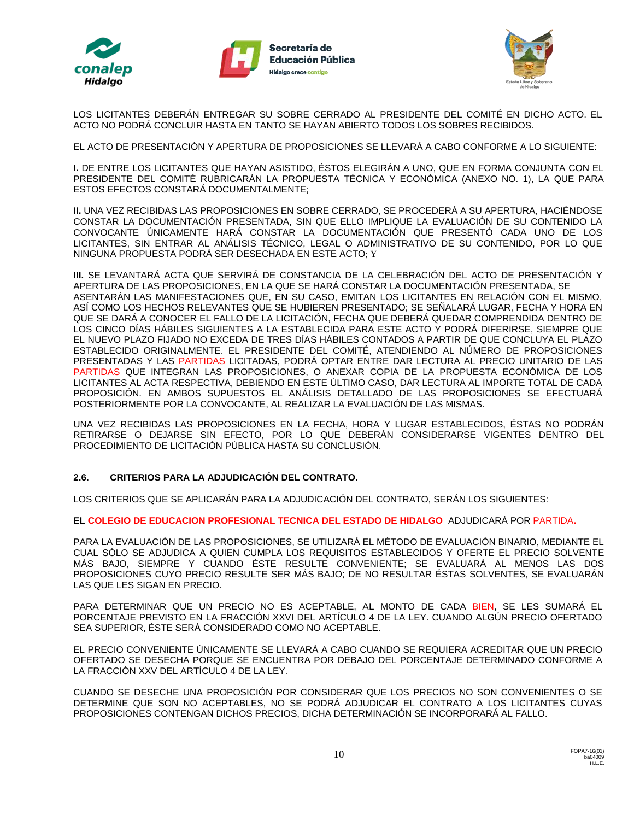





LOS LICITANTES DEBERÁN ENTREGAR SU SOBRE CERRADO AL PRESIDENTE DEL COMITÉ EN DICHO ACTO. EL ACTO NO PODRÁ CONCLUIR HASTA EN TANTO SE HAYAN ABIERTO TODOS LOS SOBRES RECIBIDOS.

EL ACTO DE PRESENTACIÓN Y APERTURA DE PROPOSICIONES SE LLEVARÁ A CABO CONFORME A LO SIGUIENTE:

**I.** DE ENTRE LOS LICITANTES QUE HAYAN ASISTIDO, ÉSTOS ELEGIRÁN A UNO, QUE EN FORMA CONJUNTA CON EL PRESIDENTE DEL COMITÉ RUBRICARÁN LA PROPUESTA TÉCNICA Y ECONÓMICA (ANEXO NO. 1), LA QUE PARA ESTOS EFECTOS CONSTARÁ DOCUMENTALMENTE;

**II.** UNA VEZ RECIBIDAS LAS PROPOSICIONES EN SOBRE CERRADO, SE PROCEDERÁ A SU APERTURA, HACIÉNDOSE CONSTAR LA DOCUMENTACIÓN PRESENTADA, SIN QUE ELLO IMPLIQUE LA EVALUACIÓN DE SU CONTENIDO LA CONVOCANTE ÚNICAMENTE HARÁ CONSTAR LA DOCUMENTACIÓN QUE PRESENTÓ CADA UNO DE LOS LICITANTES, SIN ENTRAR AL ANÁLISIS TÉCNICO, LEGAL O ADMINISTRATIVO DE SU CONTENIDO, POR LO QUE NINGUNA PROPUESTA PODRÁ SER DESECHADA EN ESTE ACTO; Y

**III.** SE LEVANTARÁ ACTA QUE SERVIRÁ DE CONSTANCIA DE LA CELEBRACIÓN DEL ACTO DE PRESENTACIÓN Y APERTURA DE LAS PROPOSICIONES, EN LA QUE SE HARÁ CONSTAR LA DOCUMENTACIÓN PRESENTADA, SE ASENTARÁN LAS MANIFESTACIONES QUE, EN SU CASO, EMITAN LOS LICITANTES EN RELACIÓN CON EL MISMO, ASÍ COMO LOS HECHOS RELEVANTES QUE SE HUBIEREN PRESENTADO; SE SEÑALARÁ LUGAR, FECHA Y HORA EN QUE SE DARÁ A CONOCER EL FALLO DE LA LICITACIÓN, FECHA QUE DEBERÁ QUEDAR COMPRENDIDA DENTRO DE LOS CINCO DÍAS HÁBILES SIGUIENTES A LA ESTABLECIDA PARA ESTE ACTO Y PODRÁ DIFERIRSE, SIEMPRE QUE EL NUEVO PLAZO FIJADO NO EXCEDA DE TRES DÍAS HÁBILES CONTADOS A PARTIR DE QUE CONCLUYA EL PLAZO ESTABLECIDO ORIGINALMENTE. EL PRESIDENTE DEL COMITÉ, ATENDIENDO AL NÚMERO DE PROPOSICIONES PRESENTADAS Y LAS PARTIDAS LICITADAS, PODRÁ OPTAR ENTRE DAR LECTURA AL PRECIO UNITARIO DE LAS PARTIDAS QUE INTEGRAN LAS PROPOSICIONES, O ANEXAR COPIA DE LA PROPUESTA ECONÓMICA DE LOS LICITANTES AL ACTA RESPECTIVA, DEBIENDO EN ESTE ÚLTIMO CASO, DAR LECTURA AL IMPORTE TOTAL DE CADA PROPOSICIÓN. EN AMBOS SUPUESTOS EL ANÁLISIS DETALLADO DE LAS PROPOSICIONES SE EFECTUARÁ POSTERIORMENTE POR LA CONVOCANTE, AL REALIZAR LA EVALUACIÓN DE LAS MISMAS.

UNA VEZ RECIBIDAS LAS PROPOSICIONES EN LA FECHA, HORA Y LUGAR ESTABLECIDOS, ÉSTAS NO PODRÁN RETIRARSE O DEJARSE SIN EFECTO, POR LO QUE DEBERÁN CONSIDERARSE VIGENTES DENTRO DEL PROCEDIMIENTO DE LICITACIÓN PÚBLICA HASTA SU CONCLUSIÓN.

## **2.6. CRITERIOS PARA LA ADJUDICACIÓN DEL CONTRATO.**

LOS CRITERIOS QUE SE APLICARÁN PARA LA ADJUDICACIÓN DEL CONTRATO, SERÁN LOS SIGUIENTES:

**EL COLEGIO DE EDUCACION PROFESIONAL TECNICA DEL ESTADO DE HIDALGO** ADJUDICARÁ POR PARTIDA**.**

PARA LA EVALUACIÓN DE LAS PROPOSICIONES, SE UTILIZARÁ EL MÉTODO DE EVALUACIÓN BINARIO, MEDIANTE EL CUAL SÓLO SE ADJUDICA A QUIEN CUMPLA LOS REQUISITOS ESTABLECIDOS Y OFERTE EL PRECIO SOLVENTE MÁS BAJO, SIEMPRE Y CUANDO ÉSTE RESULTE CONVENIENTE; SE EVALUARÁ AL MENOS LAS DOS PROPOSICIONES CUYO PRECIO RESULTE SER MÁS BAJO; DE NO RESULTAR ÉSTAS SOLVENTES, SE EVALUARÁN LAS QUE LES SIGAN EN PRECIO.

PARA DETERMINAR QUE UN PRECIO NO ES ACEPTABLE, AL MONTO DE CADA BIEN, SE LES SUMARÁ EL PORCENTAJE PREVISTO EN LA FRACCIÓN XXVI DEL ARTÍCULO 4 DE LA LEY. CUANDO ALGÚN PRECIO OFERTADO SEA SUPERIOR, ÉSTE SERÁ CONSIDERADO COMO NO ACEPTABLE.

EL PRECIO CONVENIENTE ÚNICAMENTE SE LLEVARÁ A CABO CUANDO SE REQUIERA ACREDITAR QUE UN PRECIO OFERTADO SE DESECHA PORQUE SE ENCUENTRA POR DEBAJO DEL PORCENTAJE DETERMINADO CONFORME A LA FRACCIÓN XXV DEL ARTÍCULO 4 DE LA LEY.

CUANDO SE DESECHE UNA PROPOSICIÓN POR CONSIDERAR QUE LOS PRECIOS NO SON CONVENIENTES O SE DETERMINE QUE SON NO ACEPTABLES, NO SE PODRÁ ADJUDICAR EL CONTRATO A LOS LICITANTES CUYAS PROPOSICIONES CONTENGAN DICHOS PRECIOS, DICHA DETERMINACIÓN SE INCORPORARÁ AL FALLO.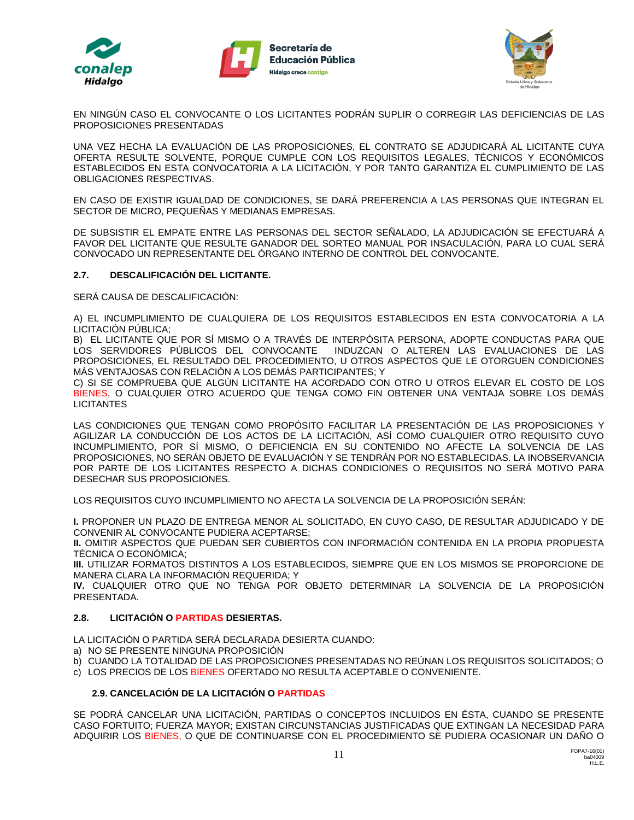





EN NINGÚN CASO EL CONVOCANTE O LOS LICITANTES PODRÁN SUPLIR O CORREGIR LAS DEFICIENCIAS DE LAS PROPOSICIONES PRESENTADAS

UNA VEZ HECHA LA EVALUACIÓN DE LAS PROPOSICIONES, EL CONTRATO SE ADJUDICARÁ AL LICITANTE CUYA OFERTA RESULTE SOLVENTE, PORQUE CUMPLE CON LOS REQUISITOS LEGALES, TÉCNICOS Y ECONÓMICOS ESTABLECIDOS EN ESTA CONVOCATORIA A LA LICITACIÓN, Y POR TANTO GARANTIZA EL CUMPLIMIENTO DE LAS OBLIGACIONES RESPECTIVAS.

EN CASO DE EXISTIR IGUALDAD DE CONDICIONES, SE DARÁ PREFERENCIA A LAS PERSONAS QUE INTEGRAN EL SECTOR DE MICRO, PEQUEÑAS Y MEDIANAS EMPRESAS.

DE SUBSISTIR EL EMPATE ENTRE LAS PERSONAS DEL SECTOR SEÑALADO, LA ADJUDICACIÓN SE EFECTUARÁ A FAVOR DEL LICITANTE QUE RESULTE GANADOR DEL SORTEO MANUAL POR INSACULACIÓN, PARA LO CUAL SERÁ CONVOCADO UN REPRESENTANTE DEL ÓRGANO INTERNO DE CONTROL DEL CONVOCANTE.

## **2.7. DESCALIFICACIÓN DEL LICITANTE.**

SERÁ CAUSA DE DESCALIFICACIÓN:

A) EL INCUMPLIMIENTO DE CUALQUIERA DE LOS REQUISITOS ESTABLECIDOS EN ESTA CONVOCATORIA A LA LICITACIÓN PÚBLICA;

B) EL LICITANTE QUE POR SÍ MISMO O A TRAVÉS DE INTERPÓSITA PERSONA, ADOPTE CONDUCTAS PARA QUE LOS SERVIDORES PÚBLICOS DEL CONVOCANTE INDUZCAN O ALTEREN LAS EVALUACIONES DE LAS PROPOSICIONES, EL RESULTADO DEL PROCEDIMIENTO, U OTROS ASPECTOS QUE LE OTORGUEN CONDICIONES MÁS VENTAJOSAS CON RELACIÓN A LOS DEMÁS PARTICIPANTES; Y

C) SI SE COMPRUEBA QUE ALGÚN LICITANTE HA ACORDADO CON OTRO U OTROS ELEVAR EL COSTO DE LOS BIENES, O CUALQUIER OTRO ACUERDO QUE TENGA COMO FIN OBTENER UNA VENTAJA SOBRE LOS DEMÁS **LICITANTES** 

LAS CONDICIONES QUE TENGAN COMO PROPÓSITO FACILITAR LA PRESENTACIÓN DE LAS PROPOSICIONES Y AGILIZAR LA CONDUCCIÓN DE LOS ACTOS DE LA LICITACIÓN, ASÍ COMO CUALQUIER OTRO REQUISITO CUYO INCUMPLIMIENTO, POR SÍ MISMO, O DEFICIENCIA EN SU CONTENIDO NO AFECTE LA SOLVENCIA DE LAS PROPOSICIONES, NO SERÁN OBJETO DE EVALUACIÓN Y SE TENDRÁN POR NO ESTABLECIDAS. LA INOBSERVANCIA POR PARTE DE LOS LICITANTES RESPECTO A DICHAS CONDICIONES O REQUISITOS NO SERÁ MOTIVO PARA DESECHAR SUS PROPOSICIONES.

LOS REQUISITOS CUYO INCUMPLIMIENTO NO AFECTA LA SOLVENCIA DE LA PROPOSICIÓN SERÁN:

**I.** PROPONER UN PLAZO DE ENTREGA MENOR AL SOLICITADO, EN CUYO CASO, DE RESULTAR ADJUDICADO Y DE CONVENIR AL CONVOCANTE PUDIERA ACEPTARSE;

**II.** OMITIR ASPECTOS QUE PUEDAN SER CUBIERTOS CON INFORMACIÓN CONTENIDA EN LA PROPIA PROPUESTA TÉCNICA O ECONÓMICA;

**III.** UTILIZAR FORMATOS DISTINTOS A LOS ESTABLECIDOS, SIEMPRE QUE EN LOS MISMOS SE PROPORCIONE DE MANERA CLARA LA INFORMACIÓN REQUERIDA; Y

**IV.** CUALQUIER OTRO QUE NO TENGA POR OBJETO DETERMINAR LA SOLVENCIA DE LA PROPOSICIÓN PRESENTADA.

## **2.8. LICITACIÓN O PARTIDAS DESIERTAS.**

LA LICITACIÓN O PARTIDA SERÁ DECLARADA DESIERTA CUANDO:

- a) NO SE PRESENTE NINGUNA PROPOSICIÓN
- b) CUANDO LA TOTALIDAD DE LAS PROPOSICIONES PRESENTADAS NO REÚNAN LOS REQUISITOS SOLICITADOS; O
- c) LOS PRECIOS DE LOS BIENES OFERTADO NO RESULTA ACEPTABLE O CONVENIENTE.

#### **2.9. CANCELACIÓN DE LA LICITACIÓN O PARTIDAS**

SE PODRÁ CANCELAR UNA LICITACIÓN, PARTIDAS O CONCEPTOS INCLUIDOS EN ÉSTA, CUANDO SE PRESENTE CASO FORTUITO; FUERZA MAYOR; EXISTAN CIRCUNSTANCIAS JUSTIFICADAS QUE EXTINGAN LA NECESIDAD PARA ADQUIRIR LOS BIENES, O QUE DE CONTINUARSE CON EL PROCEDIMIENTO SE PUDIERA OCASIONAR UN DAÑO O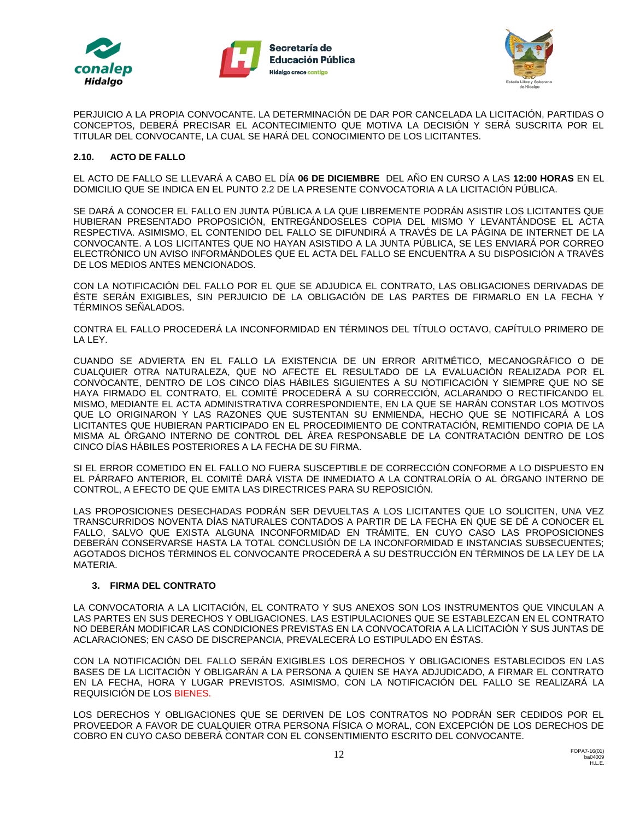





PERJUICIO A LA PROPIA CONVOCANTE. LA DETERMINACIÓN DE DAR POR CANCELADA LA LICITACIÓN, PARTIDAS O CONCEPTOS, DEBERÁ PRECISAR EL ACONTECIMIENTO QUE MOTIVA LA DECISIÓN Y SERÁ SUSCRITA POR EL TITULAR DEL CONVOCANTE, LA CUAL SE HARÁ DEL CONOCIMIENTO DE LOS LICITANTES.

#### **2.10. ACTO DE FALLO**

EL ACTO DE FALLO SE LLEVARÁ A CABO EL DÍA **06 DE DICIEMBRE** DEL AÑO EN CURSO A LAS **12:00 HORAS** EN EL DOMICILIO QUE SE INDICA EN EL PUNTO 2.2 DE LA PRESENTE CONVOCATORIA A LA LICITACIÓN PÚBLICA.

SE DARÁ A CONOCER EL FALLO EN JUNTA PÚBLICA A LA QUE LIBREMENTE PODRÁN ASISTIR LOS LICITANTES QUE HUBIERAN PRESENTADO PROPOSICIÓN, ENTREGÁNDOSELES COPIA DEL MISMO Y LEVANTÁNDOSE EL ACTA RESPECTIVA. ASIMISMO, EL CONTENIDO DEL FALLO SE DIFUNDIRÁ A TRAVÉS DE LA PÁGINA DE INTERNET DE LA CONVOCANTE. A LOS LICITANTES QUE NO HAYAN ASISTIDO A LA JUNTA PÚBLICA, SE LES ENVIARÁ POR CORREO ELECTRÓNICO UN AVISO INFORMÁNDOLES QUE EL ACTA DEL FALLO SE ENCUENTRA A SU DISPOSICIÓN A TRAVÉS DE LOS MEDIOS ANTES MENCIONADOS.

CON LA NOTIFICACIÓN DEL FALLO POR EL QUE SE ADJUDICA EL CONTRATO, LAS OBLIGACIONES DERIVADAS DE ÉSTE SERÁN EXIGIBLES, SIN PERJUICIO DE LA OBLIGACIÓN DE LAS PARTES DE FIRMARLO EN LA FECHA Y TÉRMINOS SEÑALADOS.

CONTRA EL FALLO PROCEDERÁ LA INCONFORMIDAD EN TÉRMINOS DEL TÍTULO OCTAVO, CAPÍTULO PRIMERO DE LA LEY.

CUANDO SE ADVIERTA EN EL FALLO LA EXISTENCIA DE UN ERROR ARITMÉTICO, MECANOGRÁFICO O DE CUALQUIER OTRA NATURALEZA, QUE NO AFECTE EL RESULTADO DE LA EVALUACIÓN REALIZADA POR EL CONVOCANTE, DENTRO DE LOS CINCO DÍAS HÁBILES SIGUIENTES A SU NOTIFICACIÓN Y SIEMPRE QUE NO SE HAYA FIRMADO EL CONTRATO, EL COMITÉ PROCEDERÁ A SU CORRECCIÓN, ACLARANDO O RECTIFICANDO EL MISMO, MEDIANTE EL ACTA ADMINISTRATIVA CORRESPONDIENTE, EN LA QUE SE HARÁN CONSTAR LOS MOTIVOS QUE LO ORIGINARON Y LAS RAZONES QUE SUSTENTAN SU ENMIENDA, HECHO QUE SE NOTIFICARÁ A LOS LICITANTES QUE HUBIERAN PARTICIPADO EN EL PROCEDIMIENTO DE CONTRATACIÓN, REMITIENDO COPIA DE LA MISMA AL ÓRGANO INTERNO DE CONTROL DEL ÁREA RESPONSABLE DE LA CONTRATACIÓN DENTRO DE LOS CINCO DÍAS HÁBILES POSTERIORES A LA FECHA DE SU FIRMA.

SI EL ERROR COMETIDO EN EL FALLO NO FUERA SUSCEPTIBLE DE CORRECCIÓN CONFORME A LO DISPUESTO EN EL PÁRRAFO ANTERIOR, EL COMITÉ DARÁ VISTA DE INMEDIATO A LA CONTRALORÍA O AL ÓRGANO INTERNO DE CONTROL, A EFECTO DE QUE EMITA LAS DIRECTRICES PARA SU REPOSICIÓN.

LAS PROPOSICIONES DESECHADAS PODRÁN SER DEVUELTAS A LOS LICITANTES QUE LO SOLICITEN, UNA VEZ TRANSCURRIDOS NOVENTA DÍAS NATURALES CONTADOS A PARTIR DE LA FECHA EN QUE SE DÉ A CONOCER EL FALLO, SALVO QUE EXISTA ALGUNA INCONFORMIDAD EN TRÁMITE, EN CUYO CASO LAS PROPOSICIONES DEBERÁN CONSERVARSE HASTA LA TOTAL CONCLUSIÓN DE LA INCONFORMIDAD E INSTANCIAS SUBSECUENTES; AGOTADOS DICHOS TÉRMINOS EL CONVOCANTE PROCEDERÁ A SU DESTRUCCIÓN EN TÉRMINOS DE LA LEY DE LA MATERIA.

## **3. FIRMA DEL CONTRATO**

LA CONVOCATORIA A LA LICITACIÓN, EL CONTRATO Y SUS ANEXOS SON LOS INSTRUMENTOS QUE VINCULAN A LAS PARTES EN SUS DERECHOS Y OBLIGACIONES. LAS ESTIPULACIONES QUE SE ESTABLEZCAN EN EL CONTRATO NO DEBERÁN MODIFICAR LAS CONDICIONES PREVISTAS EN LA CONVOCATORIA A LA LICITACIÓN Y SUS JUNTAS DE ACLARACIONES; EN CASO DE DISCREPANCIA, PREVALECERÁ LO ESTIPULADO EN ÉSTAS.

CON LA NOTIFICACIÓN DEL FALLO SERÁN EXIGIBLES LOS DERECHOS Y OBLIGACIONES ESTABLECIDOS EN LAS BASES DE LA LICITACIÓN Y OBLIGARÁN A LA PERSONA A QUIEN SE HAYA ADJUDICADO, A FIRMAR EL CONTRATO EN LA FECHA, HORA Y LUGAR PREVISTOS. ASIMISMO, CON LA NOTIFICACIÓN DEL FALLO SE REALIZARÁ LA REQUISICIÓN DE LOS BIENES.

LOS DERECHOS Y OBLIGACIONES QUE SE DERIVEN DE LOS CONTRATOS NO PODRÁN SER CEDIDOS POR EL PROVEEDOR A FAVOR DE CUALQUIER OTRA PERSONA FÍSICA O MORAL, CON EXCEPCIÓN DE LOS DERECHOS DE COBRO EN CUYO CASO DEBERÁ CONTAR CON EL CONSENTIMIENTO ESCRITO DEL CONVOCANTE.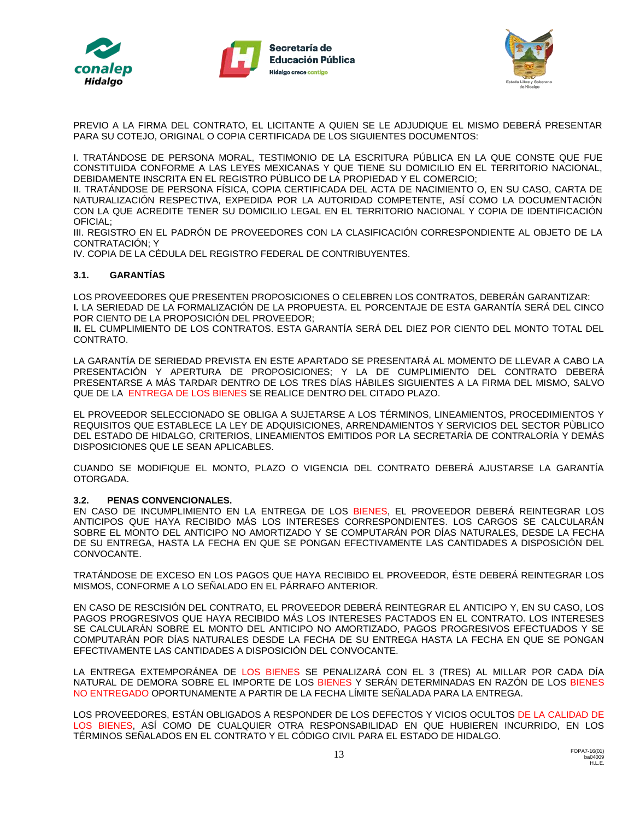





PREVIO A LA FIRMA DEL CONTRATO, EL LICITANTE A QUIEN SE LE ADJUDIQUE EL MISMO DEBERÁ PRESENTAR PARA SU COTEJO, ORIGINAL O COPIA CERTIFICADA DE LOS SIGUIENTES DOCUMENTOS:

I. TRATÁNDOSE DE PERSONA MORAL, TESTIMONIO DE LA ESCRITURA PÚBLICA EN LA QUE CONSTE QUE FUE CONSTITUIDA CONFORME A LAS LEYES MEXICANAS Y QUE TIENE SU DOMICILIO EN EL TERRITORIO NACIONAL, DEBIDAMENTE INSCRITA EN EL REGISTRO PÚBLICO DE LA PROPIEDAD Y EL COMERCIO;

II. TRATÁNDOSE DE PERSONA FÍSICA, COPIA CERTIFICADA DEL ACTA DE NACIMIENTO O, EN SU CASO, CARTA DE NATURALIZACIÓN RESPECTIVA, EXPEDIDA POR LA AUTORIDAD COMPETENTE, ASÍ COMO LA DOCUMENTACIÓN CON LA QUE ACREDITE TENER SU DOMICILIO LEGAL EN EL TERRITORIO NACIONAL Y COPIA DE IDENTIFICACIÓN OFICIAL;

III. REGISTRO EN EL PADRÓN DE PROVEEDORES CON LA CLASIFICACIÓN CORRESPONDIENTE AL OBJETO DE LA CONTRATACIÓN; Y

IV. COPIA DE LA CÉDULA DEL REGISTRO FEDERAL DE CONTRIBUYENTES.

### **3.1. GARANTÍAS**

LOS PROVEEDORES QUE PRESENTEN PROPOSICIONES O CELEBREN LOS CONTRATOS, DEBERÁN GARANTIZAR: **I.** LA SERIEDAD DE LA FORMALIZACIÓN DE LA PROPUESTA. EL PORCENTAJE DE ESTA GARANTÍA SERÁ DEL CINCO POR CIENTO DE LA PROPOSICIÓN DEL PROVEEDOR;

**II.** EL CUMPLIMIENTO DE LOS CONTRATOS. ESTA GARANTÍA SERÁ DEL DIEZ POR CIENTO DEL MONTO TOTAL DEL CONTRATO.

LA GARANTÍA DE SERIEDAD PREVISTA EN ESTE APARTADO SE PRESENTARÁ AL MOMENTO DE LLEVAR A CABO LA PRESENTACIÓN Y APERTURA DE PROPOSICIONES; Y LA DE CUMPLIMIENTO DEL CONTRATO DEBERÁ PRESENTARSE A MÁS TARDAR DENTRO DE LOS TRES DÍAS HÁBILES SIGUIENTES A LA FIRMA DEL MISMO, SALVO QUE DE LA ENTREGA DE LOS BIENES SE REALICE DENTRO DEL CITADO PLAZO.

EL PROVEEDOR SELECCIONADO SE OBLIGA A SUJETARSE A LOS TÉRMINOS, LINEAMIENTOS, PROCEDIMIENTOS Y REQUISITOS QUE ESTABLECE LA LEY DE ADQUISICIONES, ARRENDAMIENTOS Y SERVICIOS DEL SECTOR PÙBLICO DEL ESTADO DE HIDALGO, CRITERIOS, LINEAMIENTOS EMITIDOS POR LA SECRETARÍA DE CONTRALORÍA Y DEMÁS DISPOSICIONES QUE LE SEAN APLICABLES.

CUANDO SE MODIFIQUE EL MONTO, PLAZO O VIGENCIA DEL CONTRATO DEBERÁ AJUSTARSE LA GARANTÍA OTORGADA.

#### **3.2. PENAS CONVENCIONALES.**

EN CASO DE INCUMPLIMIENTO EN LA ENTREGA DE LOS BIENES, EL PROVEEDOR DEBERÁ REINTEGRAR LOS ANTICIPOS QUE HAYA RECIBIDO MÁS LOS INTERESES CORRESPONDIENTES. LOS CARGOS SE CALCULARÁN SOBRE EL MONTO DEL ANTICIPO NO AMORTIZADO Y SE COMPUTARÁN POR DÍAS NATURALES, DESDE LA FECHA DE SU ENTREGA, HASTA LA FECHA EN QUE SE PONGAN EFECTIVAMENTE LAS CANTIDADES A DISPOSICIÓN DEL CONVOCANTE.

TRATÁNDOSE DE EXCESO EN LOS PAGOS QUE HAYA RECIBIDO EL PROVEEDOR, ÉSTE DEBERÁ REINTEGRAR LOS MISMOS, CONFORME A LO SEÑALADO EN EL PÁRRAFO ANTERIOR.

EN CASO DE RESCISIÓN DEL CONTRATO, EL PROVEEDOR DEBERÁ REINTEGRAR EL ANTICIPO Y, EN SU CASO, LOS PAGOS PROGRESIVOS QUE HAYA RECIBIDO MÁS LOS INTERESES PACTADOS EN EL CONTRATO. LOS INTERESES SE CALCULARÁN SOBRE EL MONTO DEL ANTICIPO NO AMORTIZADO, PAGOS PROGRESIVOS EFECTUADOS Y SE COMPUTARÁN POR DÍAS NATURALES DESDE LA FECHA DE SU ENTREGA HASTA LA FECHA EN QUE SE PONGAN EFECTIVAMENTE LAS CANTIDADES A DISPOSICIÓN DEL CONVOCANTE.

LA ENTREGA EXTEMPORÁNEA DE LOS BIENES SE PENALIZARÁ CON EL 3 (TRES) AL MILLAR POR CADA DÍA NATURAL DE DEMORA SOBRE EL IMPORTE DE LOS BIENES Y SERÁN DETERMINADAS EN RAZÓN DE LOS BIENES NO ENTREGADO OPORTUNAMENTE A PARTIR DE LA FECHA LÍMITE SEÑALADA PARA LA ENTREGA.

LOS PROVEEDORES, ESTÁN OBLIGADOS A RESPONDER DE LOS DEFECTOS Y VICIOS OCULTOS DE LA CALIDAD DE LOS BIENES, ASÍ COMO DE CUALQUIER OTRA RESPONSABILIDAD EN QUE HUBIEREN INCURRIDO, EN LOS TÉRMINOS SEÑALADOS EN EL CONTRATO Y EL CÓDIGO CIVIL PARA EL ESTADO DE HIDALGO.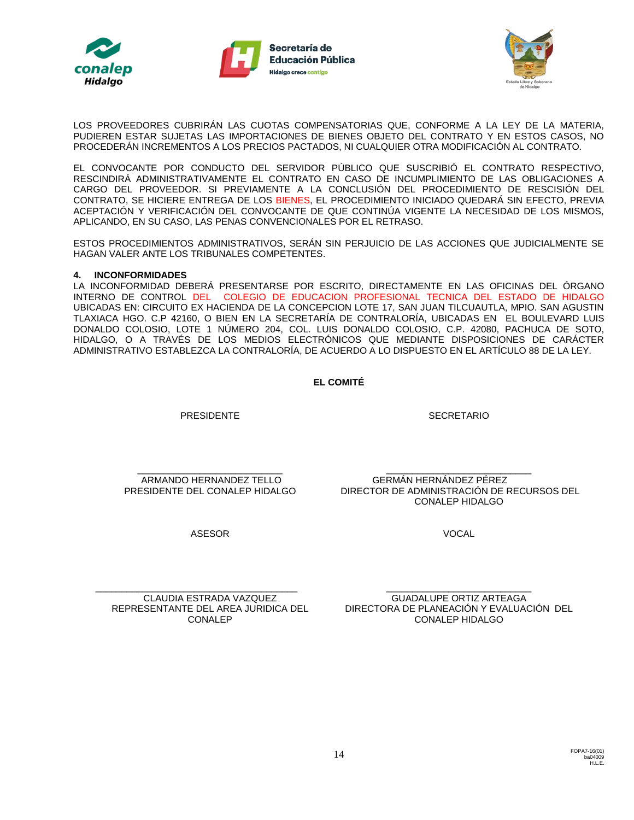





LOS PROVEEDORES CUBRIRÁN LAS CUOTAS COMPENSATORIAS QUE, CONFORME A LA LEY DE LA MATERIA, PUDIEREN ESTAR SUJETAS LAS IMPORTACIONES DE BIENES OBJETO DEL CONTRATO Y EN ESTOS CASOS, NO PROCEDERÁN INCREMENTOS A LOS PRECIOS PACTADOS, NI CUALQUIER OTRA MODIFICACIÓN AL CONTRATO.

EL CONVOCANTE POR CONDUCTO DEL SERVIDOR PÚBLICO QUE SUSCRIBIÓ EL CONTRATO RESPECTIVO, RESCINDIRÁ ADMINISTRATIVAMENTE EL CONTRATO EN CASO DE INCUMPLIMIENTO DE LAS OBLIGACIONES A CARGO DEL PROVEEDOR. SI PREVIAMENTE A LA CONCLUSIÓN DEL PROCEDIMIENTO DE RESCISIÓN DEL CONTRATO, SE HICIERE ENTREGA DE LOS BIENES, EL PROCEDIMIENTO INICIADO QUEDARÁ SIN EFECTO, PREVIA ACEPTACIÓN Y VERIFICACIÓN DEL CONVOCANTE DE QUE CONTINÚA VIGENTE LA NECESIDAD DE LOS MISMOS, APLICANDO, EN SU CASO, LAS PENAS CONVENCIONALES POR EL RETRASO.

ESTOS PROCEDIMIENTOS ADMINISTRATIVOS, SERÁN SIN PERJUICIO DE LAS ACCIONES QUE JUDICIALMENTE SE HAGAN VALER ANTE LOS TRIBUNALES COMPETENTES.

### **4. INCONFORMIDADES**

LA INCONFORMIDAD DEBERÁ PRESENTARSE POR ESCRITO, DIRECTAMENTE EN LAS OFICINAS DEL ÓRGANO INTERNO DE CONTROL DEL COLEGIO DE EDUCACION PROFESIONAL TECNICA DEL ESTADO DE HIDALGO UBICADAS EN: CIRCUITO EX HACIENDA DE LA CONCEPCION LOTE 17, SAN JUAN TILCUAUTLA, MPIO. SAN AGUSTIN TLAXIACA HGO. C.P 42160, O BIEN EN LA SECRETARÍA DE CONTRALORÍA, UBICADAS EN EL BOULEVARD LUIS DONALDO COLOSIO, LOTE 1 NÚMERO 204, COL. LUIS DONALDO COLOSIO, C.P. 42080, PACHUCA DE SOTO, HIDALGO, O A TRAVÉS DE LOS MEDIOS ELECTRÓNICOS QUE MEDIANTE DISPOSICIONES DE CARÁCTER ADMINISTRATIVO ESTABLEZCA LA CONTRALORÍA, DE ACUERDO A LO DISPUESTO EN EL ARTÍCULO 88 DE LA LEY.

### **EL COMITÉ**

PRESIDENTE

**SECRETARIO** 

\_\_\_\_\_\_\_\_\_\_\_\_\_\_\_\_\_\_\_\_\_\_\_\_\_\_\_\_ ARMANDO HERNANDEZ TELLO PRESIDENTE DEL CONALEP HIDALGO

\_\_\_\_\_\_\_\_\_\_\_\_\_\_\_\_\_\_\_\_\_\_\_\_\_\_\_\_ GERMÁN HERNÁNDEZ PÉREZ DIRECTOR DE ADMINISTRACIÓN DE RECURSOS DEL CONALEP HIDALGO

VOCAL

ASESOR

\_\_\_\_\_\_\_\_\_\_\_\_\_\_\_\_\_\_\_\_\_\_\_\_\_\_\_\_\_\_\_\_\_\_\_\_\_\_\_ CLAUDIA ESTRADA VAZQUEZ REPRESENTANTE DEL AREA JURIDICA DEL CONALEP

\_\_\_\_\_\_\_\_\_\_\_\_\_\_\_\_\_\_\_\_\_\_\_\_\_\_\_\_ GUADALUPE ORTIZ ARTEAGA DIRECTORA DE PLANEACIÓN Y EVALUACIÓN DEL CONALEP HIDALGO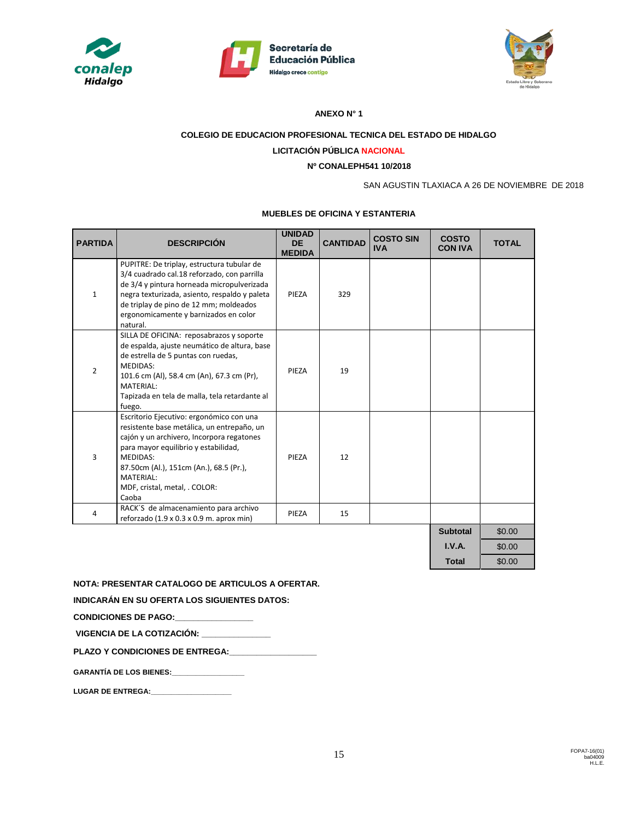





#### **ANEXO N° 1**

# **COLEGIO DE EDUCACION PROFESIONAL TECNICA DEL ESTADO DE HIDALGO**

# **LICITACIÓN PÚBLICA NACIONAL**

# **Nº CONALEPH541 10/2018**

SAN AGUSTIN TLAXIACA A 26 DE NOVIEMBRE DE 2018

#### **MUEBLES DE OFICINA Y ESTANTERIA**

| <b>PARTIDA</b> | <b>DESCRIPCIÓN</b>                                                                                                                                                                                                                                                                               | <b>UNIDAD</b><br><b>DE</b><br><b>MEDIDA</b> | <b>CANTIDAD</b> | <b>COSTO SIN</b><br><b>IVA</b> | <b>COSTO</b><br><b>CON IVA</b> | <b>TOTAL</b> |
|----------------|--------------------------------------------------------------------------------------------------------------------------------------------------------------------------------------------------------------------------------------------------------------------------------------------------|---------------------------------------------|-----------------|--------------------------------|--------------------------------|--------------|
| $\mathbf{1}$   | PUPITRE: De triplay, estructura tubular de<br>3/4 cuadrado cal.18 reforzado, con parrilla<br>de 3/4 y pintura horneada micropulverizada<br>negra texturizada, asiento, respaldo y paleta<br>de triplay de pino de 12 mm; moldeados<br>ergonomicamente y barnizados en color<br>natural.          | PIEZA                                       | 329             |                                |                                |              |
| $\overline{2}$ | SILLA DE OFICINA: reposabrazos y soporte<br>de espalda, ajuste neumático de altura, base<br>de estrella de 5 puntas con ruedas,<br><b>MEDIDAS:</b><br>101.6 cm (Al), 58.4 cm (An), 67.3 cm (Pr),<br>MATERIAL:<br>Tapizada en tela de malla, tela retardante al<br>fuego.                         | PIEZA                                       | 19              |                                |                                |              |
| $\overline{3}$ | Escritorio Ejecutivo: ergonómico con una<br>resistente base metálica, un entrepaño, un<br>cajón y un archivero, Incorpora regatones<br>para mayor equilibrio y estabilidad,<br><b>MEDIDAS:</b><br>87.50cm (Al.), 151cm (An.), 68.5 (Pr.),<br>MATERIAL:<br>MDF, cristal, metal, . COLOR:<br>Caoba | PIEZA                                       | 12              |                                |                                |              |
| 4              | RACK'S de almacenamiento para archivo<br>reforzado (1.9 x 0.3 x 0.9 m. aprox min)                                                                                                                                                                                                                | PIEZA                                       | 15              |                                |                                |              |
|                |                                                                                                                                                                                                                                                                                                  |                                             |                 |                                | <b>Subtotal</b>                | \$0.00       |
|                |                                                                                                                                                                                                                                                                                                  |                                             |                 |                                | I.V.A.                         | \$0.00       |
|                |                                                                                                                                                                                                                                                                                                  |                                             |                 |                                | <b>Total</b>                   | \$0.00       |

**NOTA: PRESENTAR CATALOGO DE ARTICULOS A OFERTAR.** 

**INDICARÁN EN SU OFERTA LOS SIGUIENTES DATOS:**

**CONDICIONES DE PAGO:\_\_\_\_\_\_\_\_\_\_\_\_\_\_\_\_\_** 

**VIGENCIA DE LA COTIZACIÓN: \_\_\_\_\_\_\_\_\_\_\_\_\_\_\_**

PLAZO Y CONDICIONES DE ENTREGA:

|  | <b>GARANTÍA DE LOS BIENES:</b> |  |
|--|--------------------------------|--|
|--|--------------------------------|--|

LUGAR DE ENTREGA: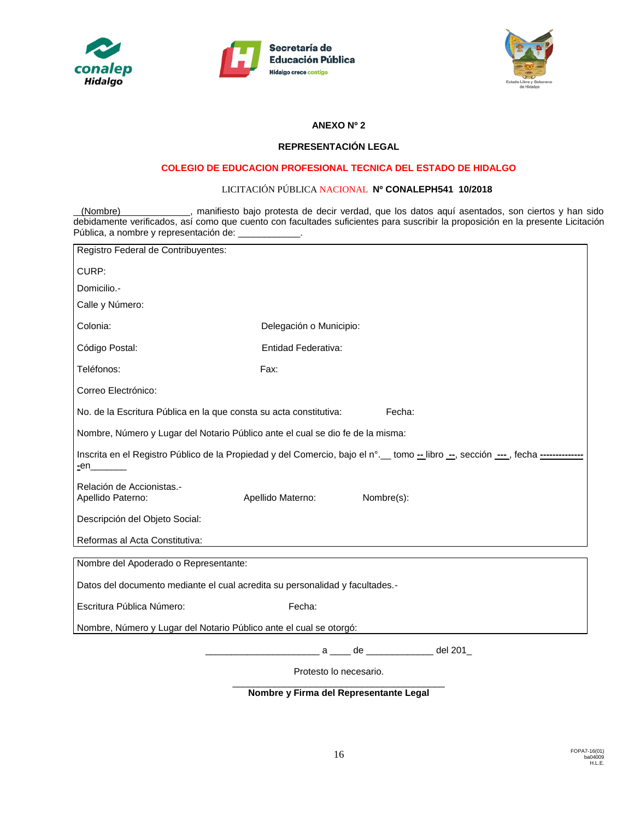





## **ANEXO Nº 2**

### **REPRESENTACIÓN LEGAL**

## **COLEGIO DE EDUCACION PROFESIONAL TECNICA DEL ESTADO DE HIDALGO**

### LICITACIÓN PÚBLICA NACIONAL **Nº CONALEPH541 10/2018**

(Nombre) , manifiesto bajo protesta de decir verdad, que los datos aquí asentados, son ciertos y han sido debidamente verificados, así como que cuento con facultades suficientes para suscribir la proposición en la presente Licitación Pública, a nombre y representación de: \_\_\_\_\_\_\_\_\_\_\_\_.

| Registro Federal de Contribuyentes:                                                                                                               |                                 |  |  |  |  |  |
|---------------------------------------------------------------------------------------------------------------------------------------------------|---------------------------------|--|--|--|--|--|
| CURP:                                                                                                                                             |                                 |  |  |  |  |  |
| Domicilio.-                                                                                                                                       |                                 |  |  |  |  |  |
| Calle y Número:                                                                                                                                   |                                 |  |  |  |  |  |
| Colonia:                                                                                                                                          | Delegación o Municipio:         |  |  |  |  |  |
| Código Postal:                                                                                                                                    | Entidad Federativa:             |  |  |  |  |  |
| Teléfonos:                                                                                                                                        | Fax:                            |  |  |  |  |  |
| Correo Electrónico:                                                                                                                               |                                 |  |  |  |  |  |
| Fecha:<br>No. de la Escritura Pública en la que consta su acta constitutiva:                                                                      |                                 |  |  |  |  |  |
| Nombre, Número y Lugar del Notario Público ante el cual se dio fe de la misma:                                                                    |                                 |  |  |  |  |  |
| Inscrita en el Registro Público de la Propiedad y del Comercio, bajo el n°. tomo --libro --, sección ---, fecha ------------<br><u>-</u> en______ |                                 |  |  |  |  |  |
| Relación de Accionistas.-<br>Apellido Paterno:                                                                                                    | Apellido Materno:<br>Nombre(s): |  |  |  |  |  |
| Descripción del Objeto Social:                                                                                                                    |                                 |  |  |  |  |  |
| Reformas al Acta Constitutiva:                                                                                                                    |                                 |  |  |  |  |  |
| Nombre del Apoderado o Representante:                                                                                                             |                                 |  |  |  |  |  |
| Datos del documento mediante el cual acredita su personalidad y facultades.-                                                                      |                                 |  |  |  |  |  |
| Escritura Pública Número:                                                                                                                         | Fecha:                          |  |  |  |  |  |
| Nombre, Número y Lugar del Notario Público ante el cual se otorgó:                                                                                |                                 |  |  |  |  |  |
|                                                                                                                                                   | a ____ de ____________ del 201_ |  |  |  |  |  |
| Protesto lo necesario.                                                                                                                            |                                 |  |  |  |  |  |

\_\_\_\_\_\_\_\_\_\_\_\_\_\_\_\_\_\_\_\_\_\_\_\_\_\_\_\_\_\_\_\_\_\_\_\_\_\_\_\_\_ **Nombre y Firma del Representante Legal**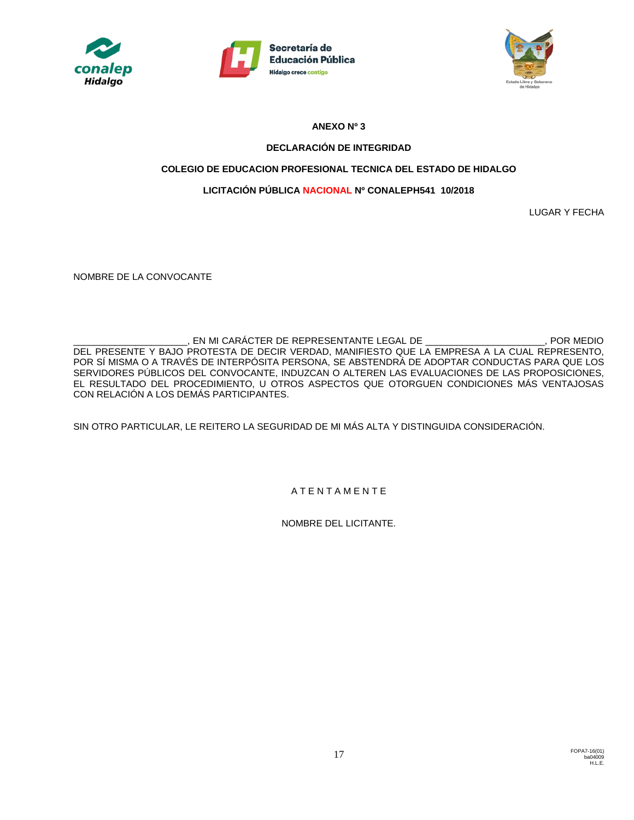





# **ANEXO Nº 3**

# **DECLARACIÓN DE INTEGRIDAD**

# **COLEGIO DE EDUCACION PROFESIONAL TECNICA DEL ESTADO DE HIDALGO**

# **LICITACIÓN PÚBLICA NACIONAL Nº CONALEPH541 10/2018**

LUGAR Y FECHA

NOMBRE DE LA CONVOCANTE

\_\_\_\_\_\_\_\_\_\_\_\_\_\_\_\_\_\_\_\_\_\_, EN MI CARÁCTER DE REPRESENTANTE LEGAL DE \_\_\_\_\_\_\_\_\_\_\_\_\_\_\_\_\_\_\_\_\_\_\_, POR MEDIO DEL PRESENTE Y BAJO PROTESTA DE DECIR VERDAD, MANIFIESTO QUE LA EMPRESA A LA CUAL REPRESENTO, POR SÍ MISMA O A TRAVÉS DE INTERPÓSITA PERSONA, SE ABSTENDRÁ DE ADOPTAR CONDUCTAS PARA QUE LOS SERVIDORES PÚBLICOS DEL CONVOCANTE, INDUZCAN O ALTEREN LAS EVALUACIONES DE LAS PROPOSICIONES, EL RESULTADO DEL PROCEDIMIENTO, U OTROS ASPECTOS QUE OTORGUEN CONDICIONES MÁS VENTAJOSAS CON RELACIÓN A LOS DEMÁS PARTICIPANTES.

SIN OTRO PARTICULAR, LE REITERO LA SEGURIDAD DE MI MÁS ALTA Y DISTINGUIDA CONSIDERACIÓN.

A T E N T A M E N T E

NOMBRE DEL LICITANTE.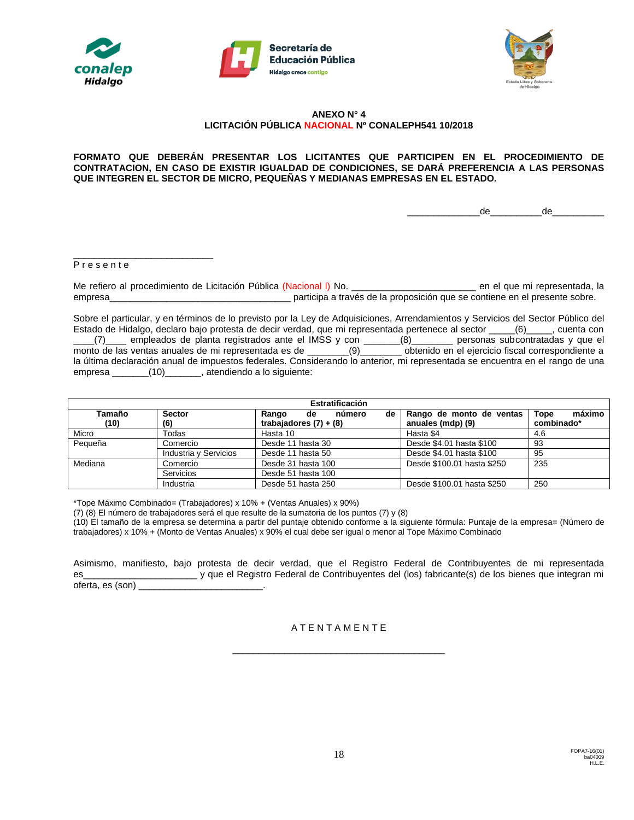





#### **ANEXO N° 4 LICITACIÓN PÚBLICA NACIONAL Nº CONALEPH541 10/2018**

#### **FORMATO QUE DEBERÁN PRESENTAR LOS LICITANTES QUE PARTICIPEN EN EL PROCEDIMIENTO DE CONTRATACION, EN CASO DE EXISTIR IGUALDAD DE CONDICIONES, SE DARÁ PREFERENCIA A LAS PERSONAS QUE INTEGREN EL SECTOR DE MICRO, PEQUEÑAS Y MEDIANAS EMPRESAS EN EL ESTADO.**

 $de$  de

#### P r e s e n t e

\_\_\_\_\_\_\_\_\_\_\_\_\_\_\_\_\_\_\_\_\_\_\_\_\_\_\_

Me refiero al procedimiento de Licitación Pública (Nacional I) No. **Que entra el procedimiento de Licitación Pública** (Nacional I) No. empresa\_\_\_\_\_\_\_\_\_\_\_\_\_\_\_\_\_\_\_\_\_\_\_\_\_\_\_\_\_\_\_\_\_\_\_ participa a través de la proposición que se contiene en el presente sobre.

Sobre el particular, y en términos de lo previsto por la Ley de Adquisiciones, Arrendamientos y Servicios del Sector Público del Estado de Hidalgo, declaro bajo protesta de decir verdad, que mi representada pertenece al sector \_\_\_\_\_(6)\_\_\_\_\_, cuenta con \_\_\_\_(7)\_\_\_\_ empleados de planta registrados ante el IMSS y con \_\_\_\_\_\_\_(8)\_\_\_\_\_\_\_\_ personas subcontratadas y que el monto de las ventas anuales de mi representada es de \_\_\_\_\_\_\_\_(9)\_\_\_\_\_\_\_\_ obtenido en el ejercicio fiscal correspondiente a la última declaración anual de impuestos federales. Considerando lo anterior, mi representada se encuentra en el rango de una empresa \_\_\_\_\_\_\_(10)\_\_\_\_\_\_\_, atendiendo a lo siguiente:

| Estratificación |                       |                             |                            |                       |  |  |  |
|-----------------|-----------------------|-----------------------------|----------------------------|-----------------------|--|--|--|
| Tamaño          | <b>Sector</b>         | Rango<br>número<br>de<br>de | Rango de monto de ventas   | máximo<br><b>Tope</b> |  |  |  |
| (10)            | (6)                   | trabajadores $(7) + (8)$    | anuales (mdp) (9)          | combinado*            |  |  |  |
| Micro           | Todas                 | Hasta 10                    | Hasta \$4                  | 4.6                   |  |  |  |
| Pequeña         | Comercio              | Desde 11 hasta 30           | Desde \$4.01 hasta \$100   | 93                    |  |  |  |
|                 | Industria y Servicios | Desde 11 hasta 50           | Desde \$4.01 hasta \$100   | 95                    |  |  |  |
| Mediana         | Comercio              | Desde 31 hasta 100          | Desde \$100.01 hasta \$250 | 235                   |  |  |  |
|                 | Servicios             | Desde 51 hasta 100          |                            |                       |  |  |  |
|                 | Industria             | Desde 51 hasta 250          | Desde \$100.01 hasta \$250 | 250                   |  |  |  |

\*Tope Máximo Combinado= (Trabajadores) x 10% + (Ventas Anuales) x 90%)

(7) (8) El número de trabajadores será el que resulte de la sumatoria de los puntos (7) y (8)

(10) El tamaño de la empresa se determina a partir del puntaje obtenido conforme a la siguiente fórmula: Puntaje de la empresa= (Número de trabajadores) x 10% + (Monto de Ventas Anuales) x 90% el cual debe ser igual o menor al Tope Máximo Combinado

Asimismo, manifiesto, bajo protesta de decir verdad, que el Registro Federal de Contribuyentes de mi representada es\_\_\_\_\_\_\_\_\_\_\_\_\_\_\_\_\_\_\_\_\_\_ y que el Registro Federal de Contribuyentes del (los) fabricante(s) de los bienes que integran mi oferta, es (son) \_\_\_\_

## A T E N T A M E N T E

\_\_\_\_\_\_\_\_\_\_\_\_\_\_\_\_\_\_\_\_\_\_\_\_\_\_\_\_\_\_\_\_\_\_\_\_\_\_\_\_\_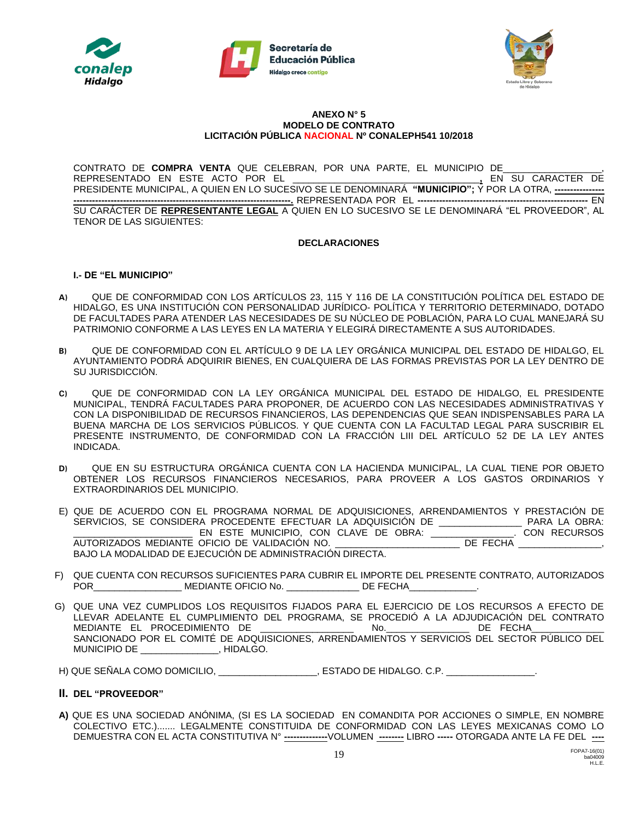





#### **ANEXO N° 5 MODELO DE CONTRATO LICITACIÓN PÚBLICA NACIONAL Nº CONALEPH541 10/2018**

CONTRATO DE **COMPRA VENTA** QUE CELEBRAN, POR UNA PARTE, EL MUNICIPIO DE\_\_\_\_\_\_\_\_\_\_\_\_\_\_\_\_\_\_\_, REPRESENTADO EN ESTE ACTO POR EL \_\_\_\_\_\_\_\_\_\_\_\_\_\_\_\_\_\_\_\_\_\_\_\_\_\_\_\_\_\_\_\_\_\_\_\_**,** EN SU CARACTER DE PRESIDENTE MUNICIPAL, A QUIEN EN LO SUCESIVO SE LE DENOMINARÁ **"MUNICIPIO";** Y POR LA OTRA, **---------------- ----------------------------------------------------------------------.** REPRESENTADA POR EL **-------------------------------------------------------** EN SU CARÁCTER DE **REPRESENTANTE LEGAL** A QUIEN EN LO SUCESIVO SE LE DENOMINARÁ "EL PROVEEDOR", AL TENOR DE LAS SIGUIENTES:

#### **DECLARACIONES**

### **I.- DE "EL MUNICIPIO"**

- **A)** QUE DE CONFORMIDAD CON LOS ARTÍCULOS 23, 115 Y 116 DE LA CONSTITUCIÓN POLÍTICA DEL ESTADO DE HIDALGO, ES UNA INSTITUCIÓN CON PERSONALIDAD JURÍDICO- POLÍTICA Y TERRITORIO DETERMINADO, DOTADO DE FACULTADES PARA ATENDER LAS NECESIDADES DE SU NÚCLEO DE POBLACIÓN, PARA LO CUAL MANEJARÁ SU PATRIMONIO CONFORME A LAS LEYES EN LA MATERIA Y ELEGIRÁ DIRECTAMENTE A SUS AUTORIDADES.
- **B)** QUE DE CONFORMIDAD CON EL ARTÍCULO 9 DE LA LEY ORGÁNICA MUNICIPAL DEL ESTADO DE HIDALGO, EL AYUNTAMIENTO PODRÁ ADQUIRIR BIENES, EN CUALQUIERA DE LAS FORMAS PREVISTAS POR LA LEY DENTRO DE SU JURISDICCIÓN.
- **C)** QUE DE CONFORMIDAD CON LA LEY ORGÁNICA MUNICIPAL DEL ESTADO DE HIDALGO, EL PRESIDENTE MUNICIPAL, TENDRÁ FACULTADES PARA PROPONER, DE ACUERDO CON LAS NECESIDADES ADMINISTRATIVAS Y CON LA DISPONIBILIDAD DE RECURSOS FINANCIEROS, LAS DEPENDENCIAS QUE SEAN INDISPENSABLES PARA LA BUENA MARCHA DE LOS SERVICIOS PÚBLICOS. Y QUE CUENTA CON LA FACULTAD LEGAL PARA SUSCRIBIR EL PRESENTE INSTRUMENTO, DE CONFORMIDAD CON LA FRACCIÓN LIII DEL ARTÍCULO 52 DE LA LEY ANTES INDICADA.
- **D)** QUE EN SU ESTRUCTURA ORGÁNICA CUENTA CON LA HACIENDA MUNICIPAL, LA CUAL TIENE POR OBJETO OBTENER LOS RECURSOS FINANCIEROS NECESARIOS, PARA PROVEER A LOS GASTOS ORDINARIOS Y EXTRAORDINARIOS DEL MUNICIPIO.
- E) QUE DE ACUERDO CON EL PROGRAMA NORMAL DE ADQUISICIONES, ARRENDAMIENTOS Y PRESTACIÓN DE SERVICIOS, SE CONSIDERA PROCEDENTE EFECTUAR LA ADQUISICIÓN DE \_\_\_\_\_\_\_\_\_\_\_\_\_\_\_\_\_\_\_ PARA LA OBRA:<br>\_\_\_\_\_\_\_\_\_\_\_\_\_\_\_\_\_\_\_\_\_\_\_\_\_\_\_\_\_ EN ESTE MUNICIPIO, CON CLAVE DE OBRA: \_\_\_\_\_\_\_\_\_\_\_\_\_\_\_\_\_\_. CON RECURSOS \_\_\_\_\_\_\_\_\_\_\_\_\_\_\_\_\_\_\_\_\_\_\_ EN ESTE MUNICIPIO, CON CLAVE DE OBRA: \_\_\_\_\_\_\_\_\_\_\_\_\_\_\_\_. CON RECURSOS AUTORIZADOS MEDIANTE OFICIO DE VALIDACIÓN NO. BAJO LA MODALIDAD DE EJECUCIÓN DE ADMINISTRACIÓN DIRECTA.
- F) QUE CUENTA CON RECURSOS SUFICIENTES PARA CUBRIR EL IMPORTE DEL PRESENTE CONTRATO, AUTORIZADOS POR\_\_\_\_\_\_\_\_\_\_\_\_\_\_\_\_\_\_\_\_\_\_\_\_\_\_\_\_\_\_\_MEDIANTE OFICIO No. \_\_\_\_\_\_\_\_\_\_\_\_\_\_\_\_\_\_\_\_\_\_\_DE FECHA\_\_\_\_
- G) QUE UNA VEZ CUMPLIDOS LOS REQUISITOS FIJADOS PARA EL EJERCICIO DE LOS RECURSOS A EFECTO DE LLEVAR ADELANTE EL CUMPLIMIENTO DEL PROGRAMA, SE PROCEDIÓ A LA ADJUDICACIÓN DEL CONTRATO MEDIANTE EL PROCEDIMIENTO DE **anticalista en la contra de la contra de la contra de la contra de la contra de** SANCIONADO POR EL COMITÉ DE ADQUISICIONES, ARRENDAMIENTOS Y SERVICIOS DEL SECTOR PÚBLICO DEL MUNICIPIO DE \_\_\_\_\_\_\_\_\_\_\_\_\_\_\_, HIDALGO.

H) QUE SEÑALA COMO DOMICILIO, \_\_\_\_\_\_\_\_\_\_\_\_\_\_\_\_, ESTADO DE HIDALGO. C.P. \_\_\_\_\_\_\_\_\_

#### **II. DEL "PROVEEDOR"**

**A)** QUE ES UNA SOCIEDAD ANÓNIMA, (SI ES LA SOCIEDAD EN COMANDITA POR ACCIONES O SIMPLE, EN NOMBRE COLECTIVO ETC.)....... LEGALMENTE CONSTITUIDA DE CONFORMIDAD CON LAS LEYES MEXICANAS COMO LO DEMUESTRA CON EL ACTA CONSTITUTIVA N° **--------------**VOLUMEN **--------** LIBRO **-----** OTORGADA ANTE LA FE DEL **----**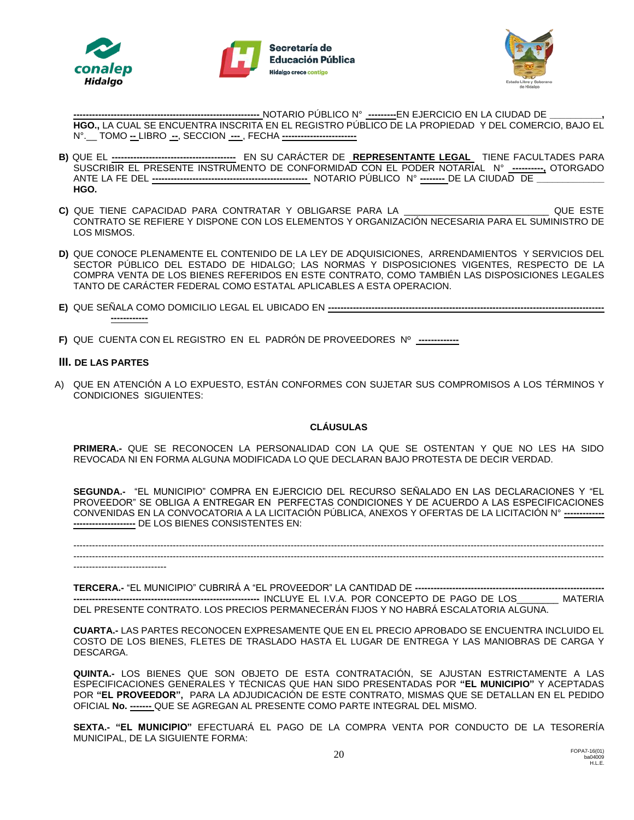





**------------------------------------------------------------** NOTARIO PÚBLICO N° **---------**EN EJERCICIO EN LA CIUDAD DE **\_\_\_\_\_\_\_\_\_\_, HGO.,** LA CUAL SE ENCUENTRA INSCRITA EN EL REGISTRO PÚBLICO DE LA PROPIEDAD Y DEL COMERCIO, BAJO EL N°.\_\_ TOMO **--** LIBRO **--**, SECCION **---** , FECHA **------------------------**

- **B)** QUE EL **----------------------------------------** EN SU CARÁCTER DE **REPRESENTANTE LEGAL** TIENE FACULTADES PARA SUSCRIBIR EL PRESENTE INSTRUMENTO DE CONFORMIDAD CON EL PODER NOTARIAL N° **----------,** OTORGADO ANTE LA FE DEL **--------------------------------------------------** NOTARIO PÚBLICO N° **--------** DE LA CIUDAD DE **\_\_\_\_\_\_\_\_\_\_\_\_\_ HGO.**
- **C)** QUE TIENE CAPACIDAD PARA CONTRATAR Y OBLIGARSE PARA LA \_\_\_\_\_\_\_\_\_\_\_\_\_\_\_\_\_\_\_\_\_\_\_\_\_\_\_\_ QUE ESTE CONTRATO SE REFIERE Y DISPONE CON LOS ELEMENTOS Y ORGANIZACIÓN NECESARIA PARA EL SUMINISTRO DE LOS MISMOS.
- **D)** QUE CONOCE PLENAMENTE EL CONTENIDO DE LA LEY DE ADQUISICIONES, ARRENDAMIENTOS Y SERVICIOS DEL SECTOR PÚBLICO DEL ESTADO DE HIDALGO; LAS NORMAS Y DISPOSICIONES VIGENTES, RESPECTO DE LA COMPRA VENTA DE LOS BIENES REFERIDOS EN ESTE CONTRATO, COMO TAMBIÉN LAS DISPOSICIONES LEGALES TANTO DE CARÁCTER FEDERAL COMO ESTATAL APLICABLES A ESTA OPERACION.
- **E)** QUE SEÑALA COMO DOMICILIO LEGAL EL UBICADO EN **----------------------------------------------------------------------------------------- ------------**
- **F)** QUE CUENTA CON EL REGISTRO EN EL PADRÓN DE PROVEEDORES Nº **-------------**

### **III. DE LAS PARTES**

A) QUE EN ATENCIÓN A LO EXPUESTO, ESTÁN CONFORMES CON SUJETAR SUS COMPROMISOS A LOS TÉRMINOS Y CONDICIONES SIGUIENTES:

## **CLÁUSULAS**

**PRIMERA.-** QUE SE RECONOCEN LA PERSONALIDAD CON LA QUE SE OSTENTAN Y QUE NO LES HA SIDO REVOCADA NI EN FORMA ALGUNA MODIFICADA LO QUE DECLARAN BAJO PROTESTA DE DECIR VERDAD.

**SEGUNDA.-** "EL MUNICIPIO" COMPRA EN EJERCICIO DEL RECURSO SEÑALADO EN LAS DECLARACIONES Y "EL PROVEEDOR" SE OBLIGA A ENTREGAR EN PERFECTAS CONDICIONES Y DE ACUERDO A LAS ESPECIFICACIONES CONVENIDAS EN LA CONVOCATORIA A LA LICITACIÓN PÚBLICA, ANEXOS Y OFERTAS DE LA LICITACIÓN N° **------------- --------------------** DE LOS BIENES CONSISTENTES EN:

--------------------------------------------------------------------------------------------------------------------------------------------------------------------------- ---------------------------------------------------------------------------------------------------------------------------------------------------------------------------

------------------------------

**TERCERA.-** "EL MUNICIPIO" CUBRIRÁ A "EL PROVEEDOR" LA CANTIDAD DE **------------------------------------------------------------- ------------------------------------------------------------** INCLUYE EL I.V.A. POR CONCEPTO DE PAGO DE LOS\_\_\_\_\_\_\_\_ MATERIA DEL PRESENTE CONTRATO. LOS PRECIOS PERMANECERÁN FIJOS Y NO HABRÁ ESCALATORIA ALGUNA.

**CUARTA.-** LAS PARTES RECONOCEN EXPRESAMENTE QUE EN EL PRECIO APROBADO SE ENCUENTRA INCLUIDO EL COSTO DE LOS BIENES, FLETES DE TRASLADO HASTA EL LUGAR DE ENTREGA Y LAS MANIOBRAS DE CARGA Y DESCARGA.

**QUINTA.-** LOS BIENES QUE SON OBJETO DE ESTA CONTRATACIÓN, SE AJUSTAN ESTRICTAMENTE A LAS ESPECIFICACIONES GENERALES Y TÉCNICAS QUE HAN SIDO PRESENTADAS POR **"EL MUNICIPIO"** Y ACEPTADAS POR **"EL PROVEEDOR",** PARA LA ADJUDICACIÓN DE ESTE CONTRATO, MISMAS QUE SE DETALLAN EN EL PEDIDO OFICIAL **No. -------** QUE SE AGREGAN AL PRESENTE COMO PARTE INTEGRAL DEL MISMO.

**SEXTA.- "EL MUNICIPIO"** EFECTUARÁ EL PAGO DE LA COMPRA VENTA POR CONDUCTO DE LA TESORERÍA MUNICIPAL, DE LA SIGUIENTE FORMA: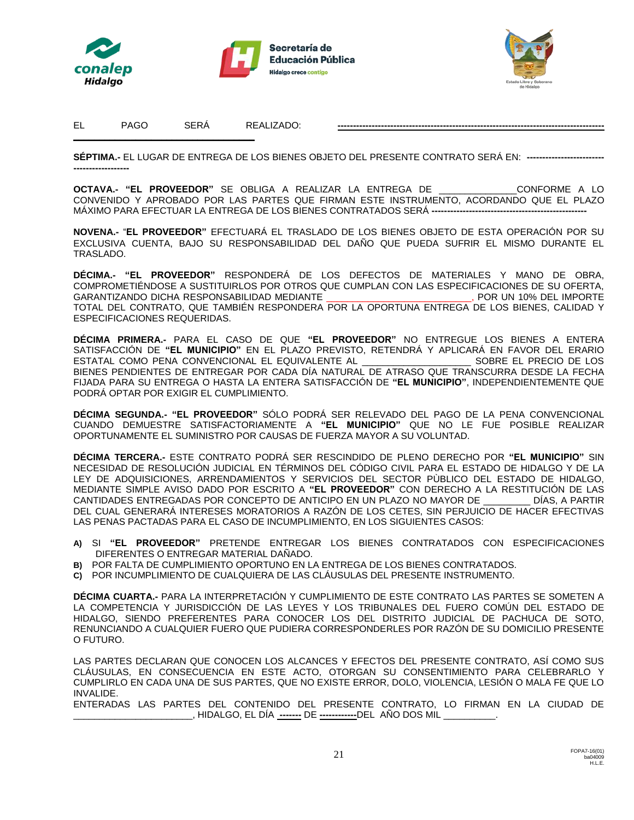





EL PAGO SERÁ REALIZADO: **--------------------------------------------------------------------------------------**

**\_\_\_\_\_\_\_\_\_\_\_\_\_\_\_\_\_\_\_\_\_\_\_\_\_\_\_\_\_\_\_\_\_\_\_**

**SÉPTIMA.-** EL LUGAR DE ENTREGA DE LOS BIENES OBJETO DEL PRESENTE CONTRATO SERÁ EN: **------------------------- ------------------**

**OCTAVA.- "EL PROVEEDOR"** SE OBLIGA A REALIZAR LA ENTREGA DE \_\_\_\_\_\_\_\_\_\_\_\_\_\_\_CONFORME A LO CONVENIDO Y APROBADO POR LAS PARTES QUE FIRMAN ESTE INSTRUMENTO, ACORDANDO QUE EL PLAZO MÁXIMO PARA EFECTUAR LA ENTREGA DE LOS BIENES CONTRATADOS SERÁ ---

**NOVENA.-** "**EL PROVEEDOR"** EFECTUARÁ EL TRASLADO DE LOS BIENES OBJETO DE ESTA OPERACIÓN POR SU EXCLUSIVA CUENTA, BAJO SU RESPONSABILIDAD DEL DAÑO QUE PUEDA SUFRIR EL MISMO DURANTE EL TRASLADO.

**DÉCIMA.- "EL PROVEEDOR"** RESPONDERÁ DE LOS DEFECTOS DE MATERIALES Y MANO DE OBRA, COMPROMETIÉNDOSE A SUSTITUIRLOS POR OTROS QUE CUMPLAN CON LAS ESPECIFICACIONES DE SU OFERTA, GARANTIZANDO DICHA RESPONSABILIDAD MEDIANTE \_\_\_\_\_\_\_\_\_\_\_\_\_\_\_\_\_\_\_\_\_\_\_\_\_\_\_\_, POR UN 10% DEL IMPORTE TOTAL DEL CONTRATO, QUE TAMBIÉN RESPONDERA POR LA OPORTUNA ENTREGA DE LOS BIENES, CALIDAD Y ESPECIFICACIONES REQUERIDAS.

**DÉCIMA PRIMERA.-** PARA EL CASO DE QUE **"EL PROVEEDOR"** NO ENTREGUE LOS BIENES A ENTERA SATISFACCIÓN DE **"EL MUNICIPIO"** EN EL PLAZO PREVISTO, RETENDRÁ Y APLICARÁ EN FAVOR DEL ERARIO ESTATAL COMO PENA CONVENCIONAL EL EQUIVALENTE AL \_\_\_\_\_\_\_\_\_\_\_\_\_\_\_\_\_\_\_\_\_ SOBRE EL PRECIO DE LOS BIENES PENDIENTES DE ENTREGAR POR CADA DÍA NATURAL DE ATRASO QUE TRANSCURRA DESDE LA FECHA FIJADA PARA SU ENTREGA O HASTA LA ENTERA SATISFACCIÓN DE **"EL MUNICIPIO"**, INDEPENDIENTEMENTE QUE PODRÁ OPTAR POR EXIGIR EL CUMPLIMIENTO.

**DÉCIMA SEGUNDA.- "EL PROVEEDOR"** SÓLO PODRÁ SER RELEVADO DEL PAGO DE LA PENA CONVENCIONAL CUANDO DEMUESTRE SATISFACTORIAMENTE A **"EL MUNICIPIO"** QUE NO LE FUE POSIBLE REALIZAR OPORTUNAMENTE EL SUMINISTRO POR CAUSAS DE FUERZA MAYOR A SU VOLUNTAD.

**DÉCIMA TERCERA.-** ESTE CONTRATO PODRÁ SER RESCINDIDO DE PLENO DERECHO POR **"EL MUNICIPIO"** SIN NECESIDAD DE RESOLUCIÓN JUDICIAL EN TÉRMINOS DEL CÓDIGO CIVIL PARA EL ESTADO DE HIDALGO Y DE LA LEY DE ADQUISICIONES, ARRENDAMIENTOS Y SERVICIOS DEL SECTOR PÙBLICO DEL ESTADO DE HIDALGO, MEDIANTE SIMPLE AVISO DADO POR ESCRITO A **"EL PROVEEDOR"** CON DERECHO A LA RESTITUCIÓN DE LAS CANTIDADES ENTREGADAS POR CONCEPTO DE ANTICIPO EN UN PLAZO NO MAYOR DE \_\_\_\_\_\_\_\_\_ DÍAS, A PARTIR DEL CUAL GENERARÁ INTERESES MORATORIOS A RAZÓN DE LOS CETES, SIN PERJUICIO DE HACER EFECTIVAS LAS PENAS PACTADAS PARA EL CASO DE INCUMPLIMIENTO, EN LOS SIGUIENTES CASOS:

- **A)** SI **"EL PROVEEDOR"** PRETENDE ENTREGAR LOS BIENES CONTRATADOS CON ESPECIFICACIONES DIFERENTES O ENTREGAR MATERIAL DAÑADO.
- **B)** POR FALTA DE CUMPLIMIENTO OPORTUNO EN LA ENTREGA DE LOS BIENES CONTRATADOS.
- **C)** POR INCUMPLIMIENTO DE CUALQUIERA DE LAS CLÁUSULAS DEL PRESENTE INSTRUMENTO.

**DÉCIMA CUARTA.-** PARA LA INTERPRETACIÓN Y CUMPLIMIENTO DE ESTE CONTRATO LAS PARTES SE SOMETEN A LA COMPETENCIA Y JURISDICCIÓN DE LAS LEYES Y LOS TRIBUNALES DEL FUERO COMÚN DEL ESTADO DE HIDALGO, SIENDO PREFERENTES PARA CONOCER LOS DEL DISTRITO JUDICIAL DE PACHUCA DE SOTO, RENUNCIANDO A CUALQUIER FUERO QUE PUDIERA CORRESPONDERLES POR RAZÓN DE SU DOMICILIO PRESENTE O FUTURO.

LAS PARTES DECLARAN QUE CONOCEN LOS ALCANCES Y EFECTOS DEL PRESENTE CONTRATO, ASÍ COMO SUS CLÁUSULAS, EN CONSECUENCIA EN ESTE ACTO, OTORGAN SU CONSENTIMIENTO PARA CELEBRARLO Y CUMPLIRLO EN CADA UNA DE SUS PARTES, QUE NO EXISTE ERROR, DOLO, VIOLENCIA, LESIÓN O MALA FE QUE LO INVALIDE.

ENTERADAS LAS PARTES DEL CONTENIDO DEL PRESENTE CONTRATO, LO FIRMAN EN LA CIUDAD DE \_\_\_\_\_\_\_\_\_\_\_\_\_\_\_\_\_\_\_\_\_\_\_, HIDALGO, EL DÍA **-------** DE **------------**DEL AÑO DOS MIL \_\_\_\_\_\_\_\_\_\_.